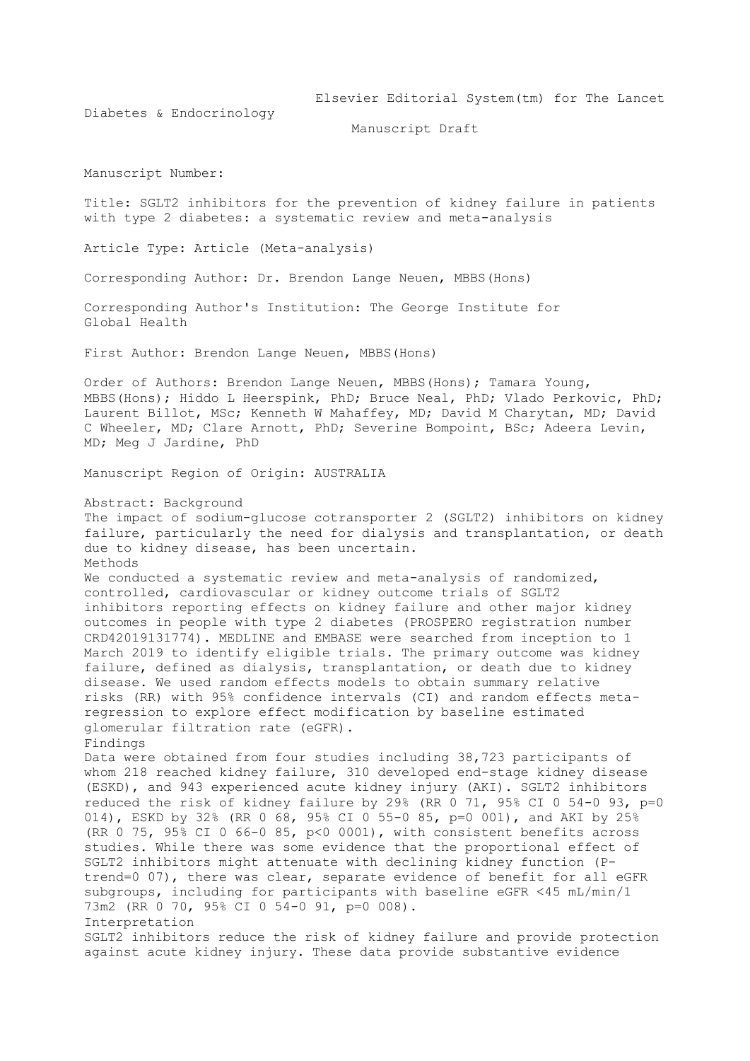Elsevier Editorial System(tm) for The Lancet

Diabetes & Endocrinology

Manuscript Draft

Manuscript Number:

Title: SGLT2 inhibitors for the prevention of kidney failure in patients with type 2 diabetes: a systematic review and meta-analysis

Article Type: Article (Meta-analysis)

Corresponding Author: Dr. Brendon Lange Neuen, MBBS(Hons)

Corresponding Author's Institution: The George Institute for Global Health

First Author: Brendon Lange Neuen, MBBS(Hons)

Order of Authors: Brendon Lange Neuen, MBBS(Hons); Tamara Young, MBBS(Hons); Hiddo L Heerspink, PhD; Bruce Neal, PhD; Vlado Perkovic, PhD; Laurent Billot, MSc; Kenneth W Mahaffey, MD; David M Charytan, MD; David C Wheeler, MD; Clare Arnott, PhD; Severine Bompoint, BSc; Adeera Levin, MD; Meg J Jardine, PhD

Manuscript Region of Origin: AUSTRALIA

Abstract: Background

The impact of sodium-glucose cotransporter 2 (SGLT2) inhibitors on kidney failure, particularly the need for dialysis and transplantation, or death due to kidney disease, has been uncertain. Methods We conducted a systematic review and meta-analysis of randomized, controlled, cardiovascular or kidney outcome trials of SGLT2 inhibitors reporting effects on kidney failure and other major kidney outcomes in people with type 2 diabetes (PROSPERO registration number CRD42019131774). MEDLINE and EMBASE were searched from inception to 1 March 2019 to identify eligible trials. The primary outcome was kidney failure, defined as dialysis, transplantation, or death due to kidney disease. We used random effects models to obtain summary relative risks (RR) with 95% confidence intervals (CI) and random effects metaregression to explore effect modification by baseline estimated glomerular filtration rate (eGFR). Findings Data were obtained from four studies including 38,723 participants of whom 218 reached kidney failure, 310 developed end-stage kidney disease (ESKD), and 943 experienced acute kidney injury (AKI). SGLT2 inhibitors reduced the risk of kidney failure by 29% (RR 0 71, 95% CI 0 54-0 93, p=0 014), ESKD by 32% (RR 0 68, 95% CI 0 55-0 85, p=0 001), and AKI by 25% (RR 0 75, 95% CI 0 66-0 85, p<0 0001), with consistent benefits across studies. While there was some evidence that the proportional effect of SGLT2 inhibitors might attenuate with declining kidney function (Ptrend=0 07), there was clear, separate evidence of benefit for all eGFR subgroups, including for participants with baseline eGFR <45 mL/min/1 73m2 (RR 0 70, 95% CI 0 54-0 91, p=0 008). Interpretation SGLT2 inhibitors reduce the risk of kidney failure and provide protection against acute kidney injury. These data provide substantive evidence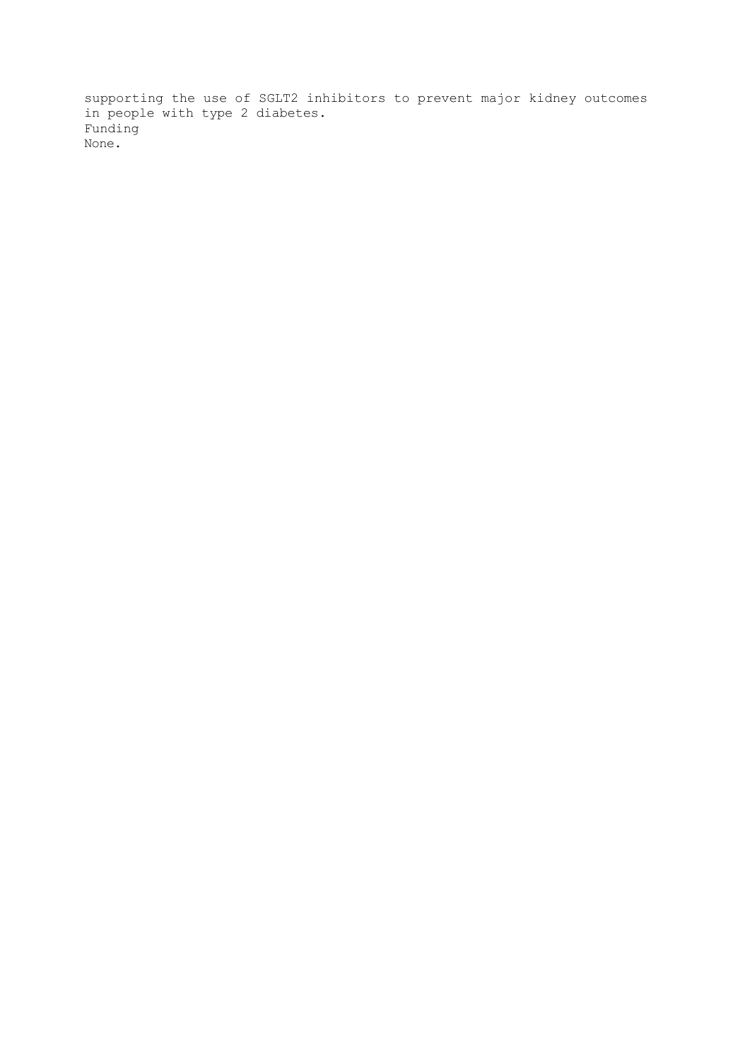supporting the use of SGLT2 inhibitors to prevent major kidney outcomes in people with type 2 diabetes. Funding None.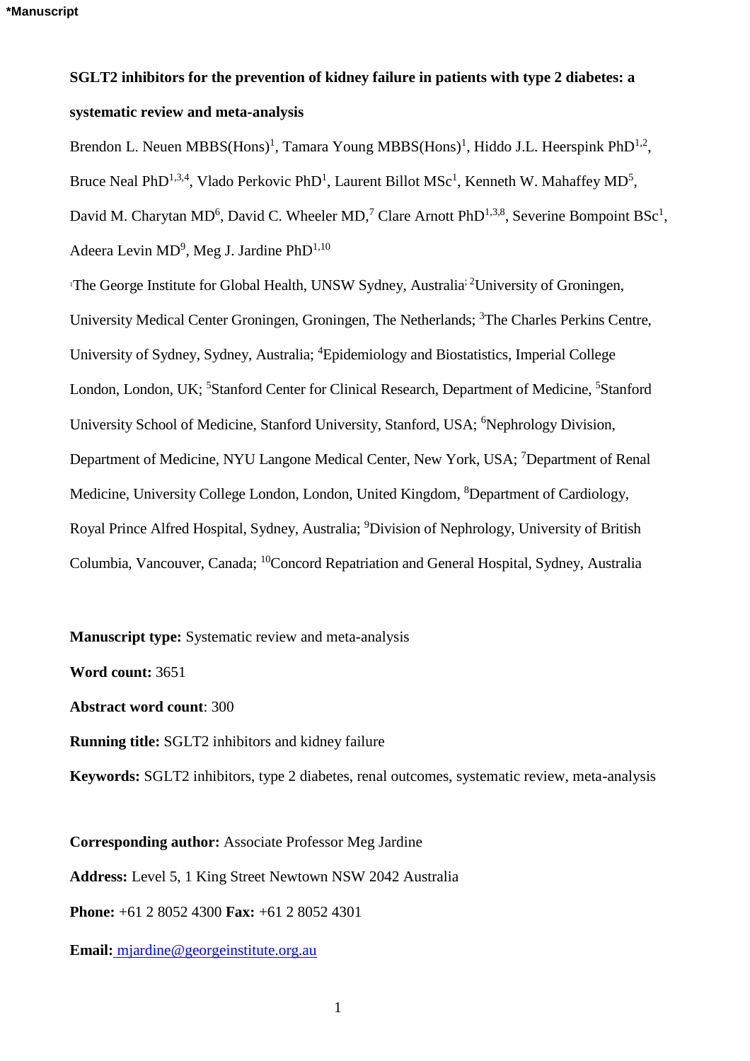# **SGLT2 inhibitors for the prevention of kidney failure in patients with type 2 diabetes: a systematic review and meta-analysis**

Brendon L. Neuen MBBS(Hons)<sup>1</sup>, Tamara Young MBBS(Hons)<sup>1</sup>, Hiddo J.L. Heerspink PhD<sup>1,2</sup>, Bruce Neal PhD<sup>1,3,4</sup>, Vlado Perkovic PhD<sup>1</sup>, Laurent Billot MSc<sup>1</sup>, Kenneth W. Mahaffey MD<sup>5</sup>, David M. Charytan MD<sup>6</sup>, David C. Wheeler MD,<sup>7</sup> Clare Arnott PhD<sup>1,3,8</sup>, Severine Bompoint BSc<sup>1</sup>, Adeera Levin MD<sup>9</sup>, Meg J. Jardine PhD<sup>1,10</sup>

<sup>1</sup>The George Institute for Global Health, UNSW Sydney, Australia<sup>; 2</sup>University of Groningen, University Medical Center Groningen, Groningen, The Netherlands; <sup>3</sup>The Charles Perkins Centre, University of Sydney, Sydney, Australia; <sup>4</sup>Epidemiology and Biostatistics, Imperial College London, London, UK; <sup>5</sup>Stanford Center for Clinical Research, Department of Medicine, <sup>5</sup>Stanford University School of Medicine, Stanford University, Stanford, USA; <sup>6</sup>Nephrology Division, Department of Medicine, NYU Langone Medical Center, New York, USA; <sup>7</sup>Department of Renal Medicine, University College London, London, United Kingdom, <sup>8</sup>Department of Cardiology, Royal Prince Alfred Hospital, Sydney, Australia; <sup>9</sup>Division of Nephrology, University of British Columbia, Vancouver, Canada; <sup>10</sup>Concord Repatriation and General Hospital, Sydney, Australia

**Manuscript type:** Systematic review and meta-analysis

**Word count:** 3651

**Abstract word count**: 300

**Running title:** SGLT2 inhibitors and kidney failure

**Keywords:** SGLT2 inhibitors, type 2 diabetes, renal outcomes, systematic review, meta-analysis

**Corresponding author:** Associate Professor Meg Jardine **Address:** Level 5, 1 King Street Newtown NSW 2042 Australia **Phone:** +61 2 8052 4300 **Fax:** +61 2 8052 4301

**Email[:](mailto:vperkovic@georgeinstitute.org.au)** mjardine@georgeinstitute.org.au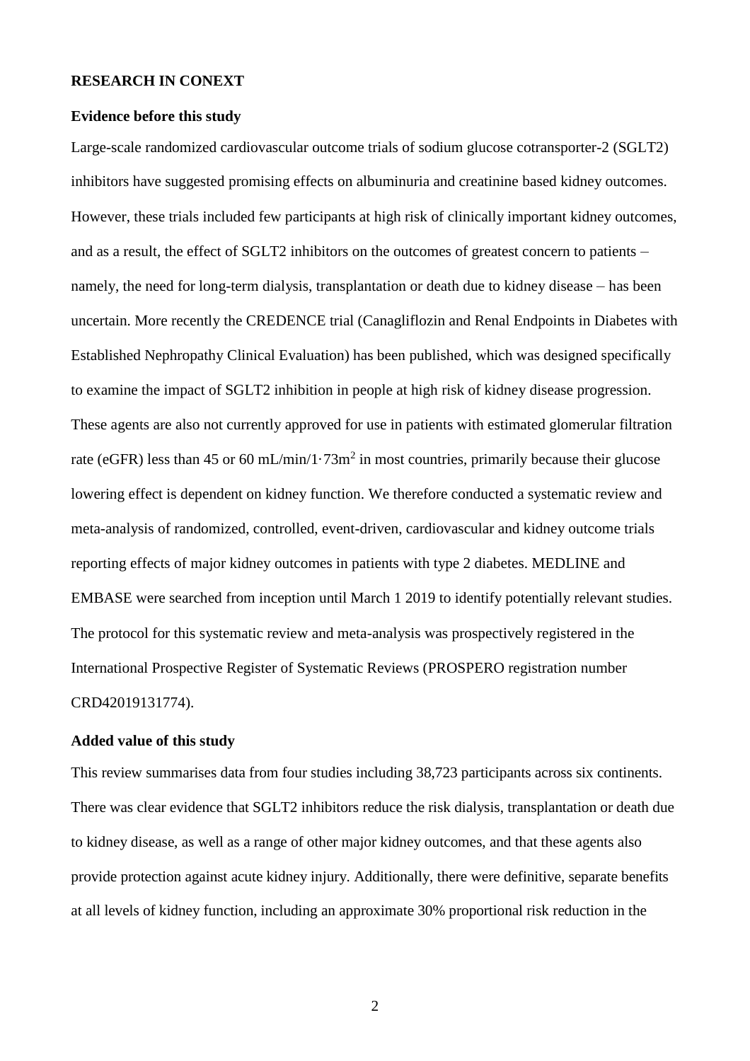#### **RESEARCH IN CONEXT**

#### **Evidence before this study**

Large-scale randomized cardiovascular outcome trials of sodium glucose cotransporter-2 (SGLT2) inhibitors have suggested promising effects on albuminuria and creatinine based kidney outcomes. However, these trials included few participants at high risk of clinically important kidney outcomes, and as a result, the effect of SGLT2 inhibitors on the outcomes of greatest concern to patients – namely, the need for long-term dialysis, transplantation or death due to kidney disease – has been uncertain. More recently the CREDENCE trial (Canagliflozin and Renal Endpoints in Diabetes with Established Nephropathy Clinical Evaluation) has been published, which was designed specifically to examine the impact of SGLT2 inhibition in people at high risk of kidney disease progression. These agents are also not currently approved for use in patients with estimated glomerular filtration rate (eGFR) less than 45 or 60 mL/min/1 $\cdot$ 73m<sup>2</sup> in most countries, primarily because their glucose lowering effect is dependent on kidney function. We therefore conducted a systematic review and meta-analysis of randomized, controlled, event-driven, cardiovascular and kidney outcome trials reporting effects of major kidney outcomes in patients with type 2 diabetes. MEDLINE and EMBASE were searched from inception until March 1 2019 to identify potentially relevant studies. The protocol for this systematic review and meta-analysis was prospectively registered in the International Prospective Register of Systematic Reviews (PROSPERO registration number CRD42019131774).

# **Added value of this study**

This review summarises data from four studies including 38,723 participants across six continents. There was clear evidence that SGLT2 inhibitors reduce the risk dialysis, transplantation or death due to kidney disease, as well as a range of other major kidney outcomes, and that these agents also provide protection against acute kidney injury. Additionally, there were definitive, separate benefits at all levels of kidney function, including an approximate 30% proportional risk reduction in the

2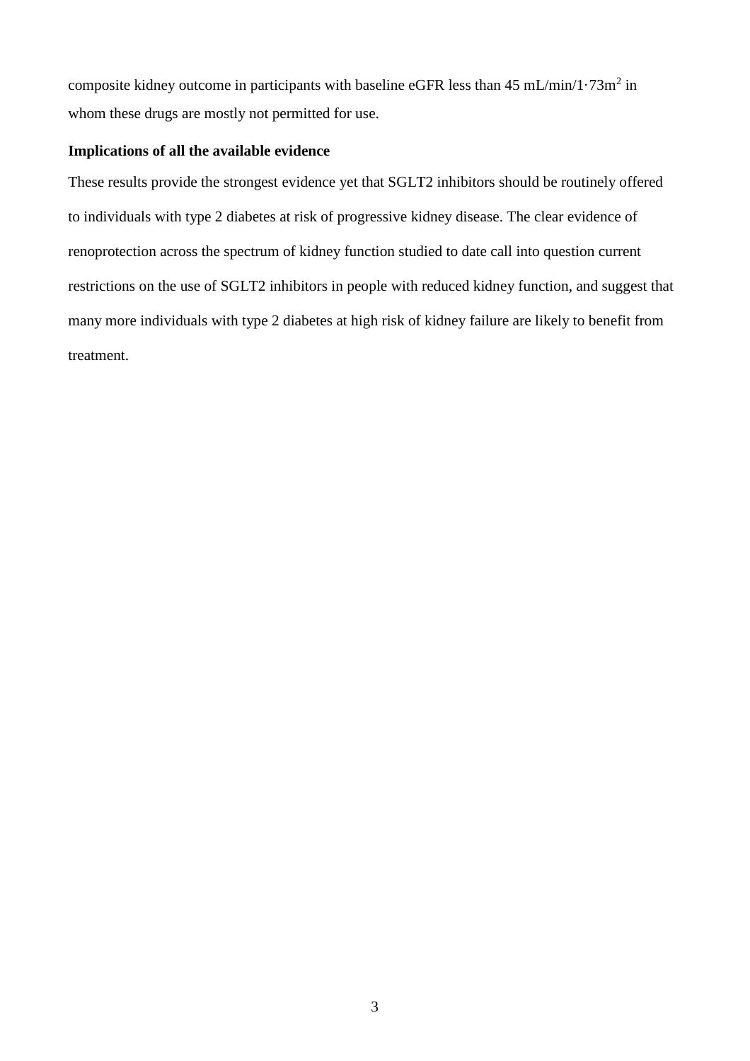composite kidney outcome in participants with baseline eGFR less than  $45 \text{ mL/min}/1.73 \text{m}^2$  in whom these drugs are mostly not permitted for use.

# **Implications of all the available evidence**

These results provide the strongest evidence yet that SGLT2 inhibitors should be routinely offered to individuals with type 2 diabetes at risk of progressive kidney disease. The clear evidence of renoprotection across the spectrum of kidney function studied to date call into question current restrictions on the use of SGLT2 inhibitors in people with reduced kidney function, and suggest that many more individuals with type 2 diabetes at high risk of kidney failure are likely to benefit from treatment.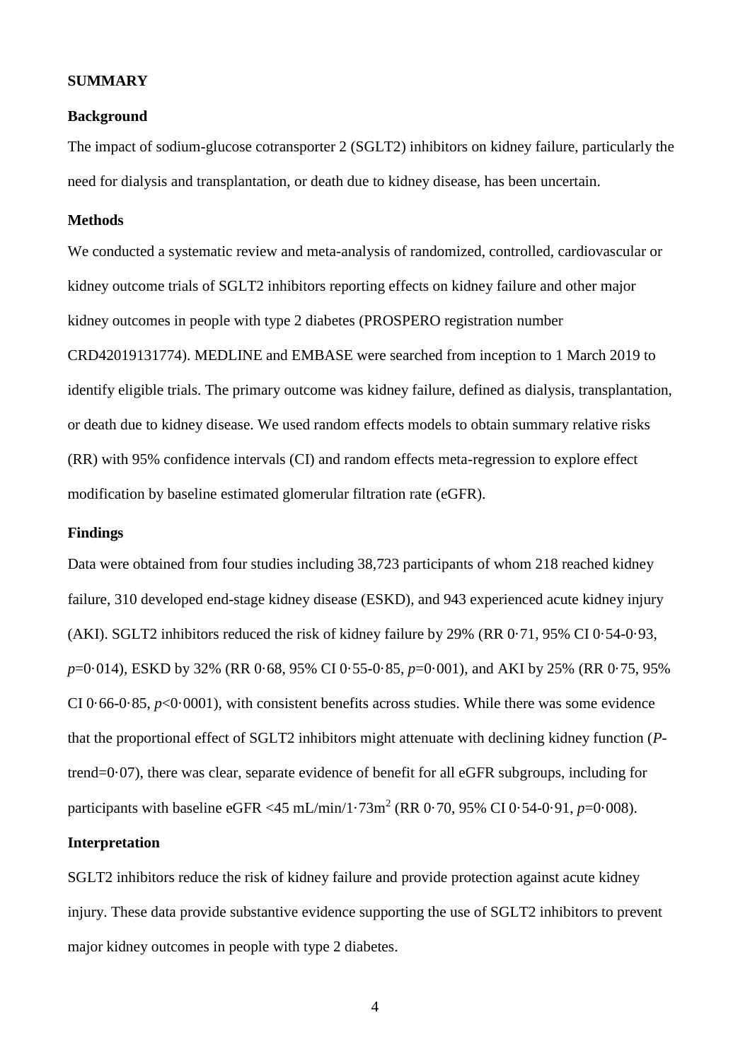#### **SUMMARY**

#### **Background**

The impact of sodium-glucose cotransporter 2 (SGLT2) inhibitors on kidney failure, particularly the need for dialysis and transplantation, or death due to kidney disease, has been uncertain.

# **Methods**

We conducted a systematic review and meta-analysis of randomized, controlled, cardiovascular or kidney outcome trials of SGLT2 inhibitors reporting effects on kidney failure and other major kidney outcomes in people with type 2 diabetes (PROSPERO registration number CRD42019131774). MEDLINE and EMBASE were searched from inception to 1 March 2019 to identify eligible trials. The primary outcome was kidney failure, defined as dialysis, transplantation, or death due to kidney disease. We used random effects models to obtain summary relative risks (RR) with 95% confidence intervals (CI) and random effects meta-regression to explore effect modification by baseline estimated glomerular filtration rate (eGFR).

### **Findings**

Data were obtained from four studies including 38,723 participants of whom 218 reached kidney failure, 310 developed end-stage kidney disease (ESKD), and 943 experienced acute kidney injury (AKI). SGLT2 inhibitors reduced the risk of kidney failure by 29% (RR 0·71, 95% CI 0·54-0·93, *p*=0·014), ESKD by 32% (RR 0·68, 95% CI 0·55-0·85, *p*=0·001), and AKI by 25% (RR 0·75, 95% CI 0 $\cdot$  66-0 $\cdot$  85, *p*<0 $\cdot$ 0001), with consistent benefits across studies. While there was some evidence that the proportional effect of SGLT2 inhibitors might attenuate with declining kidney function (*P*trend=0·07), there was clear, separate evidence of benefit for all eGFR subgroups, including for participants with baseline eGFR <45 mL/min/1·73m<sup>2</sup> (RR 0·70, 95% CI 0·54-0·91,  $p=0.008$ ).

### **Interpretation**

SGLT2 inhibitors reduce the risk of kidney failure and provide protection against acute kidney injury. These data provide substantive evidence supporting the use of SGLT2 inhibitors to prevent major kidney outcomes in people with type 2 diabetes.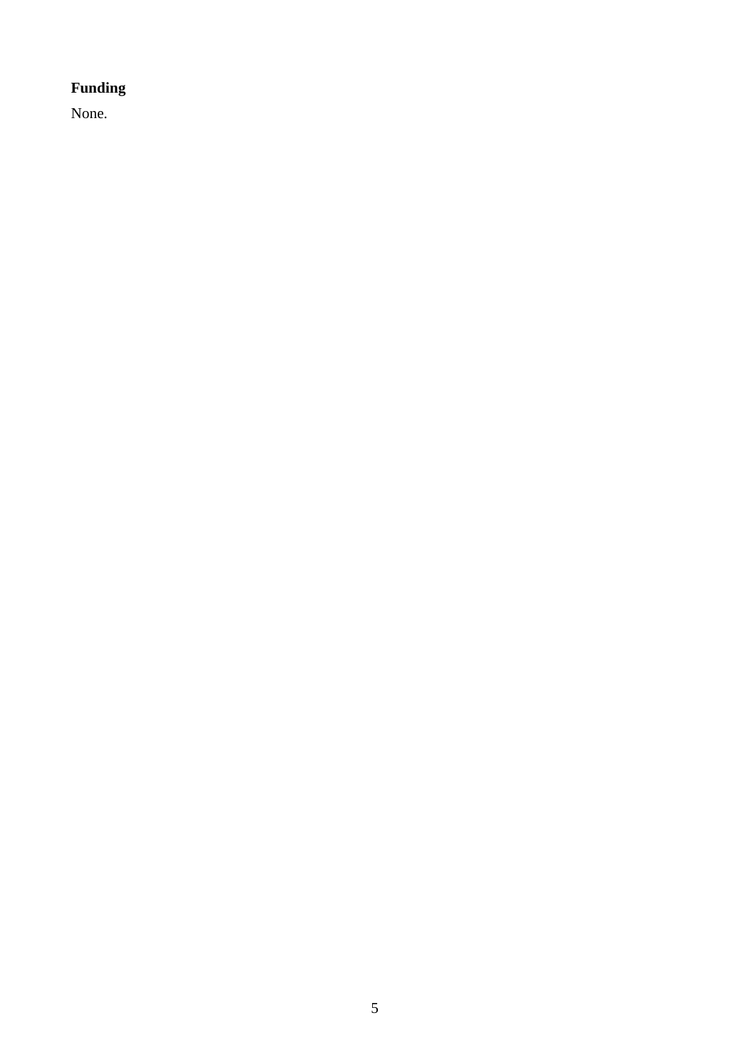# **Funding**

None.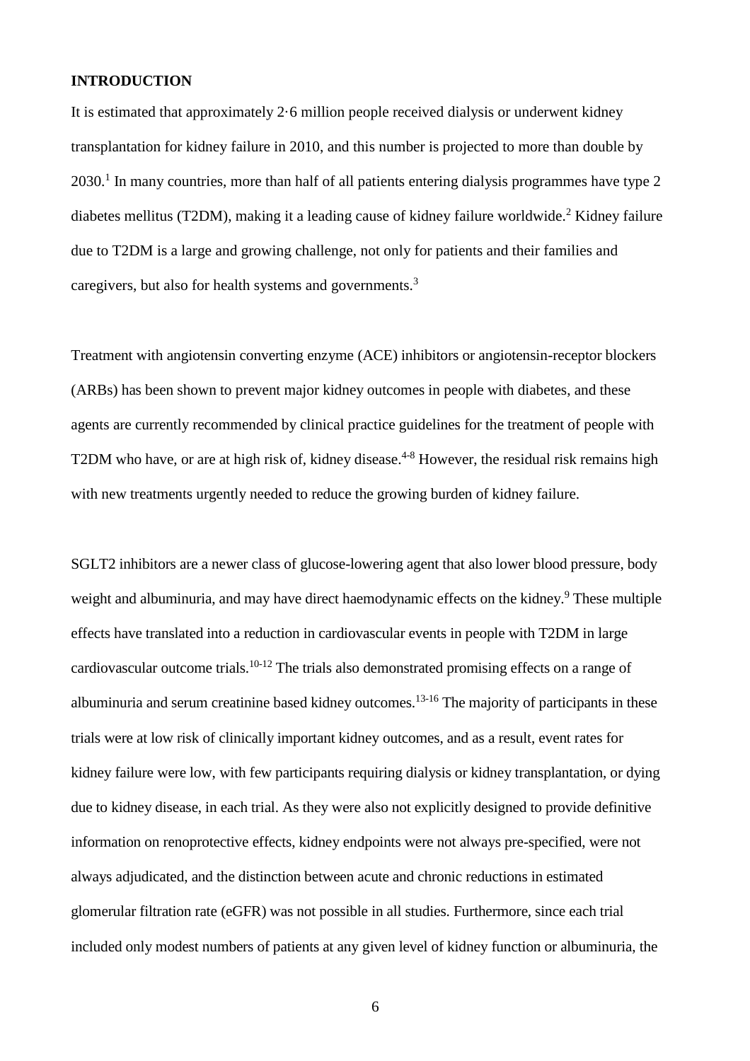# **INTRODUCTION**

It is estimated that approximately 2·6 million people received dialysis or underwent kidney transplantation for kidney failure in 2010, and this number is projected to more than double by  $2030<sup>1</sup>$  In many countries, more than half of all patients entering dialysis programmes have type 2 diabetes mellitus (T2DM), making it a leading cause of kidney failure worldwide.<sup>2</sup> Kidney failure due to T2DM is a large and growing challenge, not only for patients and their families and caregivers, but also for health systems and governments.<sup>3</sup>

Treatment with angiotensin converting enzyme (ACE) inhibitors or angiotensin-receptor blockers (ARBs) has been shown to prevent major kidney outcomes in people with diabetes, and these agents are currently recommended by clinical practice guidelines for the treatment of people with T2DM who have, or are at high risk of, kidney disease.<sup>4-8</sup> However, the residual risk remains high with new treatments urgently needed to reduce the growing burden of kidney failure.

SGLT2 inhibitors are a newer class of glucose-lowering agent that also lower blood pressure, body weight and albuminuria, and may have direct haemodynamic effects on the kidney.<sup>9</sup> These multiple effects have translated into a reduction in cardiovascular events in people with T2DM in large cardiovascular outcome trials.10-12 The trials also demonstrated promising effects on a range of albuminuria and serum creatinine based kidney outcomes.<sup>13-16</sup> The majority of participants in these trials were at low risk of clinically important kidney outcomes, and as a result, event rates for kidney failure were low, with few participants requiring dialysis or kidney transplantation, or dying due to kidney disease, in each trial. As they were also not explicitly designed to provide definitive information on renoprotective effects, kidney endpoints were not always pre-specified, were not always adjudicated, and the distinction between acute and chronic reductions in estimated glomerular filtration rate (eGFR) was not possible in all studies. Furthermore, since each trial included only modest numbers of patients at any given level of kidney function or albuminuria, the

6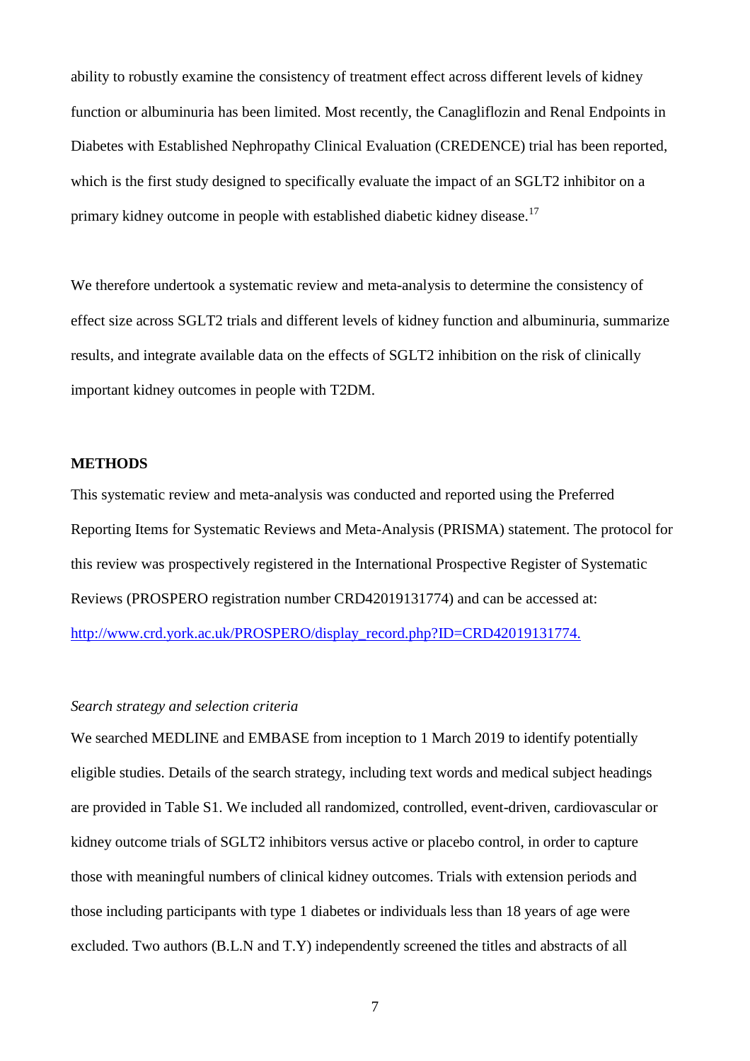ability to robustly examine the consistency of treatment effect across different levels of kidney function or albuminuria has been limited. Most recently, the Canagliflozin and Renal Endpoints in Diabetes with Established Nephropathy Clinical Evaluation (CREDENCE) trial has been reported, which is the first study designed to specifically evaluate the impact of an SGLT2 inhibitor on a primary kidney outcome in people with established diabetic kidney disease.<sup>17</sup>

We therefore undertook a systematic review and meta-analysis to determine the consistency of effect size across SGLT2 trials and different levels of kidney function and albuminuria, summarize results, and integrate available data on the effects of SGLT2 inhibition on the risk of clinically important kidney outcomes in people with T2DM.

## **METHODS**

This systematic review and meta-analysis was conducted and reported using the Preferred Reporting Items for Systematic Reviews and Meta-Analysis (PRISMA) statement. The protocol for this review was prospectively registered in the International Prospective Register of Systematic Reviews (PROSPERO registration number CRD42019131774) and can be accessed at: [http://www.crd.york.ac.uk/PROSPERO/display\\_record.php?ID=CRD42019131774.](http://www.crd.york.ac.uk/PROSPERO/display_record.php?ID=CRD42019131774.)

#### *Search strategy and selection criteria*

We searched MEDLINE and EMBASE from inception to 1 March 2019 to identify potentially eligible studies. Details of the search strategy, including text words and medical subject headings are provided in Table S1. We included all randomized, controlled, event-driven, cardiovascular or kidney outcome trials of SGLT2 inhibitors versus active or placebo control, in order to capture those with meaningful numbers of clinical kidney outcomes. Trials with extension periods and those including participants with type 1 diabetes or individuals less than 18 years of age were excluded. Two authors (B.L.N and T.Y) independently screened the titles and abstracts of all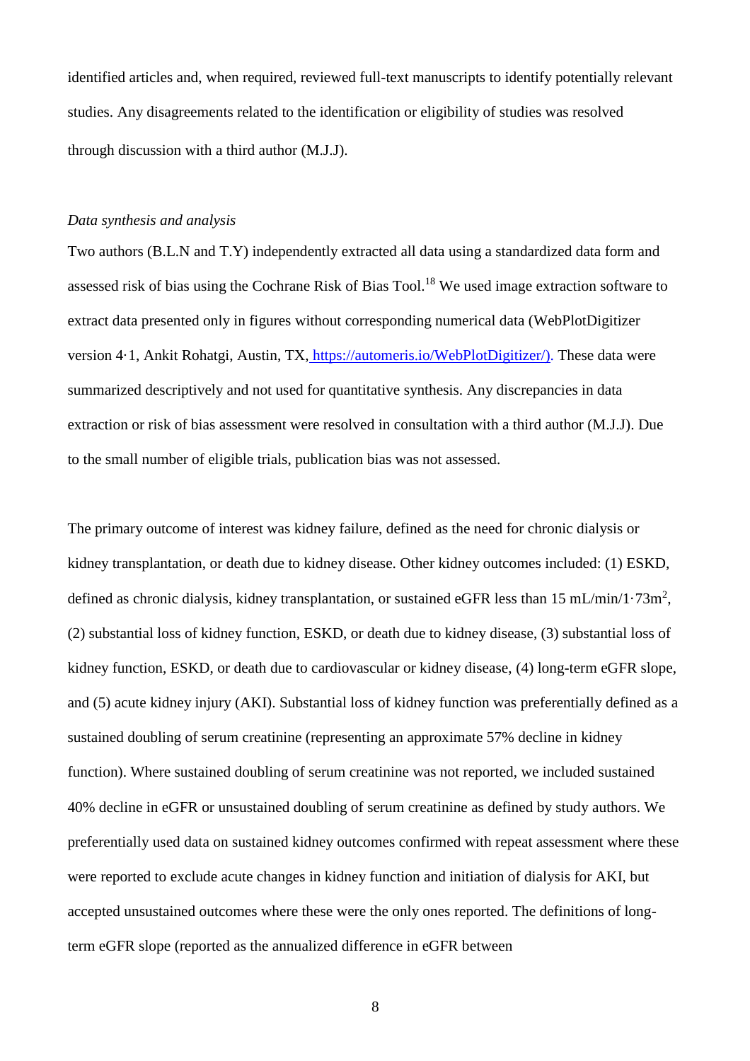identified articles and, when required, reviewed full-text manuscripts to identify potentially relevant studies. Any disagreements related to the identification or eligibility of studies was resolved through discussion with a third author (M.J.J).

#### *Data synthesis and analysis*

Two authors (B.L.N and T.Y) independently extracted all data using a standardized data form and assessed risk of bias using the Cochrane Risk of Bias Tool.<sup>18</sup> We used image extraction software to extract data presented only in figures without corresponding numerical data (WebPlotDigitizer version 4·1, Ankit Rohatgi, Austin, TX, [https://automeris.io/WebPlotDigitizer/\)](https://automeris.io/WebPlotDigitizer/). These data were summarized descriptively and not used for quantitative synthesis. Any discrepancies in data extraction or risk of bias assessment were resolved in consultation with a third author (M.J.J). Due to the small number of eligible trials, publication bias was not assessed.

The primary outcome of interest was kidney failure, defined as the need for chronic dialysis or kidney transplantation, or death due to kidney disease. Other kidney outcomes included: (1) ESKD, defined as chronic dialysis, kidney transplantation, or sustained eGFR less than  $15 \text{ mL/min}/1.73 \text{m}^2$ , (2) substantial loss of kidney function, ESKD, or death due to kidney disease, (3) substantial loss of kidney function, ESKD, or death due to cardiovascular or kidney disease, (4) long-term eGFR slope, and (5) acute kidney injury (AKI). Substantial loss of kidney function was preferentially defined as a sustained doubling of serum creatinine (representing an approximate 57% decline in kidney function). Where sustained doubling of serum creatinine was not reported, we included sustained 40% decline in eGFR or unsustained doubling of serum creatinine as defined by study authors. We preferentially used data on sustained kidney outcomes confirmed with repeat assessment where these were reported to exclude acute changes in kidney function and initiation of dialysis for AKI, but accepted unsustained outcomes where these were the only ones reported. The definitions of longterm eGFR slope (reported as the annualized difference in eGFR between

8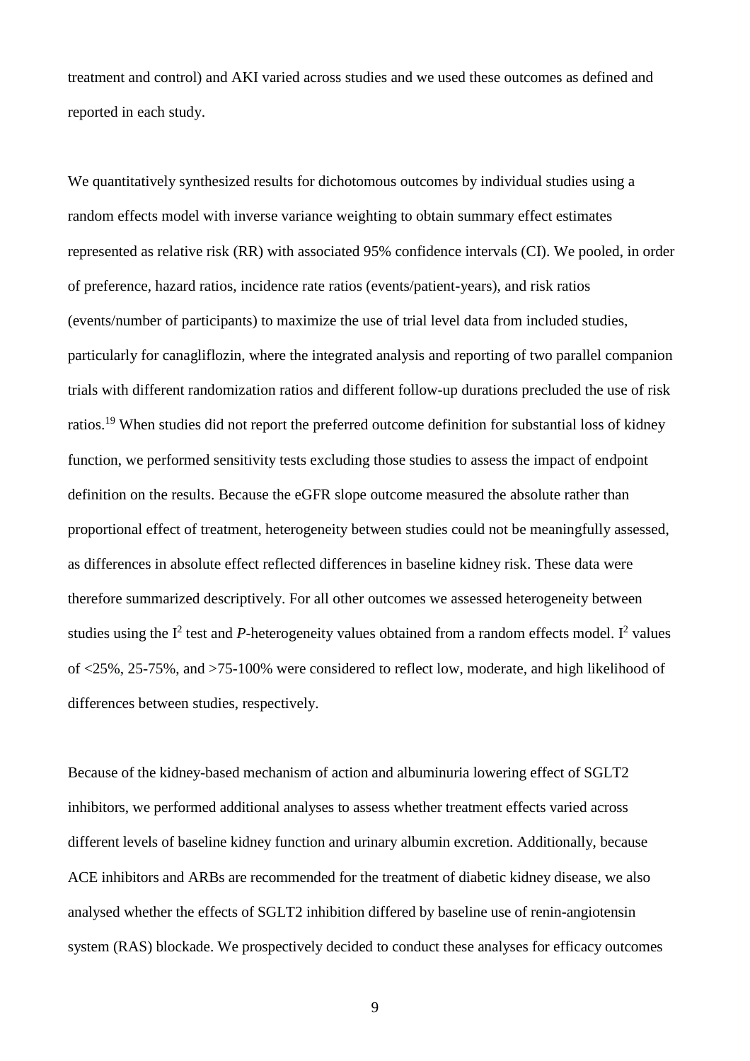treatment and control) and AKI varied across studies and we used these outcomes as defined and reported in each study.

We quantitatively synthesized results for dichotomous outcomes by individual studies using a random effects model with inverse variance weighting to obtain summary effect estimates represented as relative risk (RR) with associated 95% confidence intervals (CI). We pooled, in order of preference, hazard ratios, incidence rate ratios (events/patient-years), and risk ratios (events/number of participants) to maximize the use of trial level data from included studies, particularly for canagliflozin, where the integrated analysis and reporting of two parallel companion trials with different randomization ratios and different follow-up durations precluded the use of risk ratios.<sup>19</sup> When studies did not report the preferred outcome definition for substantial loss of kidney function, we performed sensitivity tests excluding those studies to assess the impact of endpoint definition on the results. Because the eGFR slope outcome measured the absolute rather than proportional effect of treatment, heterogeneity between studies could not be meaningfully assessed, as differences in absolute effect reflected differences in baseline kidney risk. These data were therefore summarized descriptively. For all other outcomes we assessed heterogeneity between studies using the  $I^2$  test and *P*-heterogeneity values obtained from a random effects model. I<sup>2</sup> values of <25%, 25-75%, and >75-100% were considered to reflect low, moderate, and high likelihood of differences between studies, respectively.

Because of the kidney-based mechanism of action and albuminuria lowering effect of SGLT2 inhibitors, we performed additional analyses to assess whether treatment effects varied across different levels of baseline kidney function and urinary albumin excretion. Additionally, because ACE inhibitors and ARBs are recommended for the treatment of diabetic kidney disease, we also analysed whether the effects of SGLT2 inhibition differed by baseline use of renin-angiotensin system (RAS) blockade. We prospectively decided to conduct these analyses for efficacy outcomes

9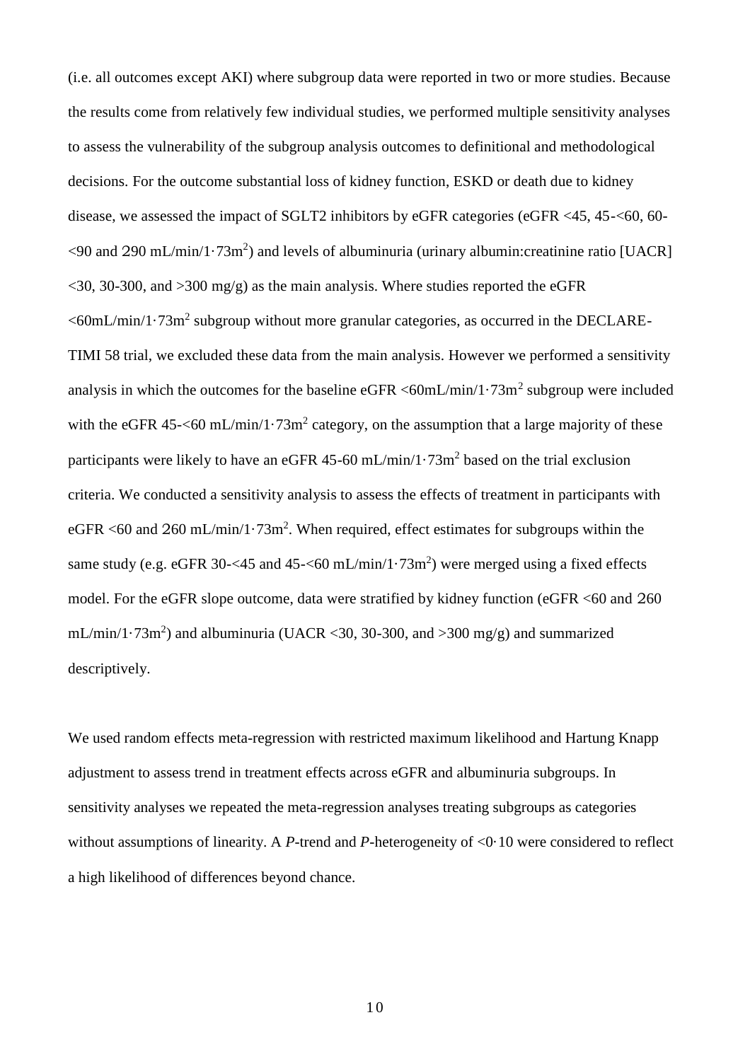(i.e. all outcomes except AKI) where subgroup data were reported in two or more studies. Because the results come from relatively few individual studies, we performed multiple sensitivity analyses to assess the vulnerability of the subgroup analysis outcomes to definitional and methodological decisions. For the outcome substantial loss of kidney function, ESKD or death due to kidney disease, we assessed the impact of SGLT2 inhibitors by eGFR categories (eGFR <45, 45-<60, 60-  $\leq$ 90 and 290 mL/min/1 $\cdot$ 73m<sup>2</sup>) and levels of albuminuria (urinary albumin:creatinine ratio [UACR]  $\langle 30, 30, 300, 300, \text{ and } 300 \text{ mg/g} \rangle$  as the main analysis. Where studies reported the eGFR  $<$ 60mL/min/1 $\cdot$ 73m<sup>2</sup> subgroup without more granular categories, as occurred in the DECLARE-TIMI 58 trial, we excluded these data from the main analysis. However we performed a sensitivity analysis in which the outcomes for the baseline eGFR  $\textless 60 \text{m}$ L/min/1·73m<sup>2</sup> subgroup were included with the eGFR 45- $\leq$ 60 mL/min/1 $\cdot$ 73m<sup>2</sup> category, on the assumption that a large majority of these participants were likely to have an eGFR 45-60 mL/min/1 $\cdot$ 73m<sup>2</sup> based on the trial exclusion criteria. We conducted a sensitivity analysis to assess the effects of treatment in participants with eGFR <60 and 260 mL/min/1 $\cdot$ 73m<sup>2</sup>. When required, effect estimates for subgroups within the same study (e.g. eGFR 30-<45 and 45-<60 mL/min/1 $\cdot$ 73m<sup>2</sup>) were merged using a fixed effects model. For the eGFR slope outcome, data were stratified by kidney function (eGFR <60 and 260 mL/min/1·73m<sup>2</sup>) and albuminuria (UACR <30, 30-300, and >300 mg/g) and summarized descriptively.

We used random effects meta-regression with restricted maximum likelihood and Hartung Knapp adjustment to assess trend in treatment effects across eGFR and albuminuria subgroups. In sensitivity analyses we repeated the meta-regression analyses treating subgroups as categories without assumptions of linearity. A *P*-trend and *P*-heterogeneity of <0·10 were considered to reflect a high likelihood of differences beyond chance.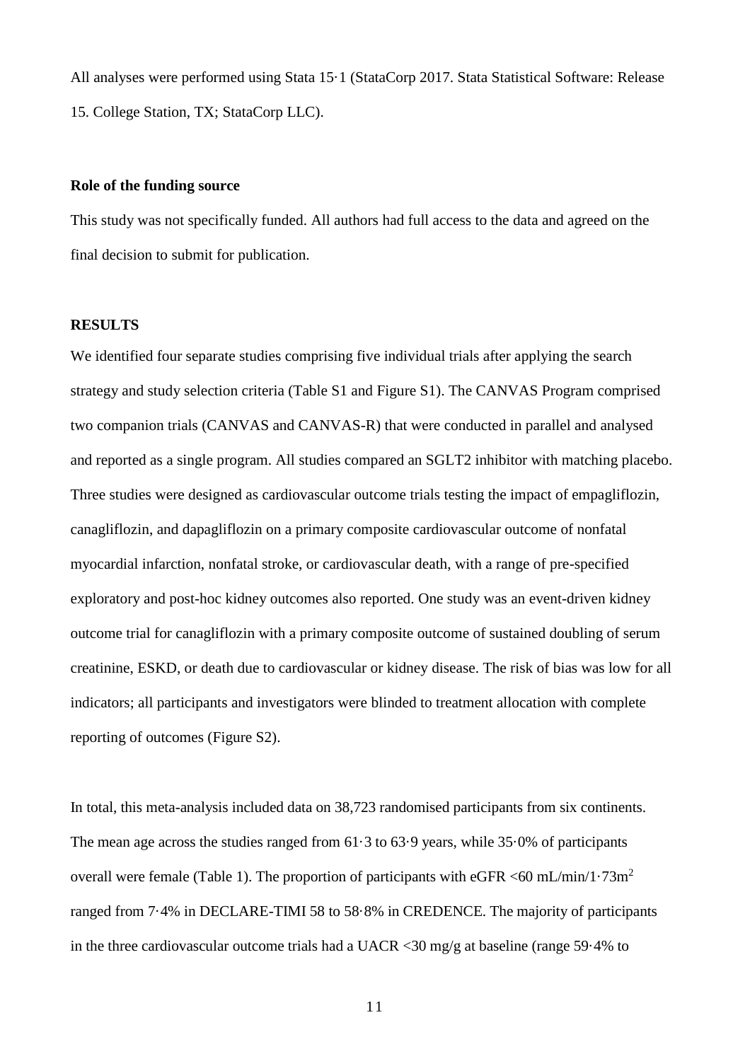All analyses were performed using Stata 15·1 (StataCorp 2017. Stata Statistical Software: Release 15. College Station, TX; StataCorp LLC).

## **Role of the funding source**

This study was not specifically funded. All authors had full access to the data and agreed on the final decision to submit for publication.

### **RESULTS**

We identified four separate studies comprising five individual trials after applying the search strategy and study selection criteria (Table S1 and Figure S1). The CANVAS Program comprised two companion trials (CANVAS and CANVAS-R) that were conducted in parallel and analysed and reported as a single program. All studies compared an SGLT2 inhibitor with matching placebo. Three studies were designed as cardiovascular outcome trials testing the impact of empagliflozin, canagliflozin, and dapagliflozin on a primary composite cardiovascular outcome of nonfatal myocardial infarction, nonfatal stroke, or cardiovascular death, with a range of pre-specified exploratory and post-hoc kidney outcomes also reported. One study was an event-driven kidney outcome trial for canagliflozin with a primary composite outcome of sustained doubling of serum creatinine, ESKD, or death due to cardiovascular or kidney disease. The risk of bias was low for all indicators; all participants and investigators were blinded to treatment allocation with complete reporting of outcomes (Figure S2).

In total, this meta-analysis included data on 38,723 randomised participants from six continents. The mean age across the studies ranged from 61·3 to 63·9 years, while 35·0% of participants overall were female (Table 1). The proportion of participants with eGFR  $\langle 60 \text{ mL/min/1} \cdot 73 \text{m}^2 \rangle$ ranged from 7·4% in DECLARE-TIMI 58 to 58·8% in CREDENCE. The majority of participants in the three cardiovascular outcome trials had a UACR <30 mg/g at baseline (range 59·4% to

11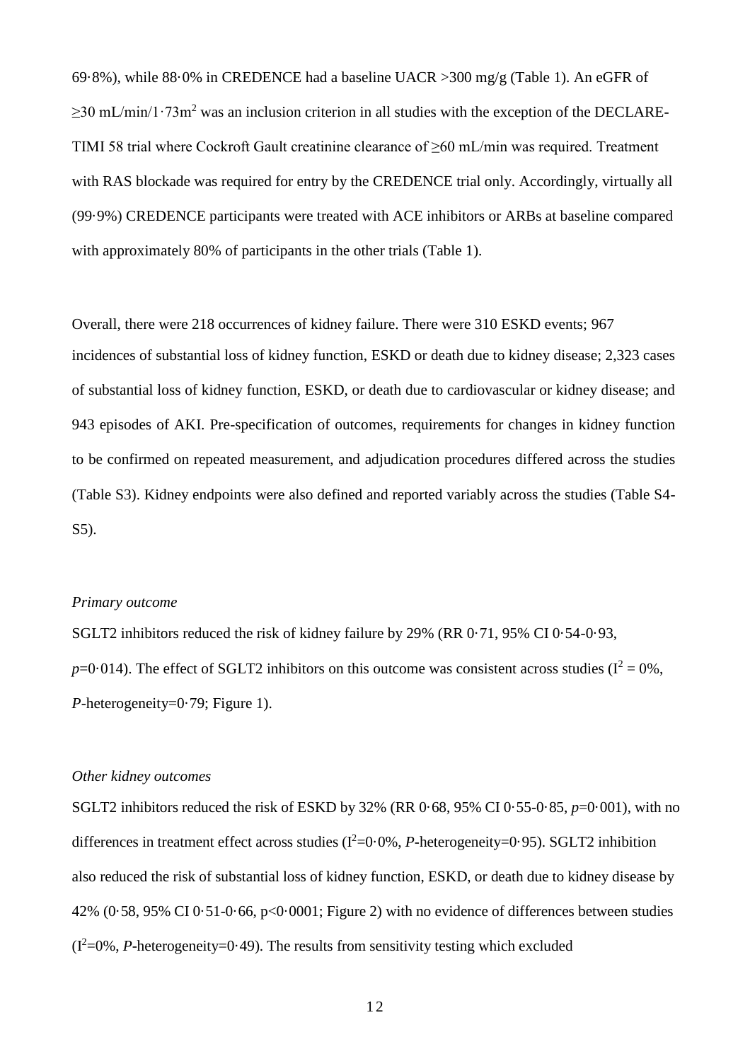69·8%), while 88·0% in CREDENCE had a baseline UACR >300 mg/g (Table 1). An eGFR of  $\geq$ 30 mL/min/1·73m<sup>2</sup> was an inclusion criterion in all studies with the exception of the DECLARE-TIMI 58 trial where Cockroft Gault creatinine clearance of ≥60 mL/min was required. Treatment with RAS blockade was required for entry by the CREDENCE trial only. Accordingly, virtually all (99·9%) CREDENCE participants were treated with ACE inhibitors or ARBs at baseline compared with approximately 80% of participants in the other trials (Table 1).

Overall, there were 218 occurrences of kidney failure. There were 310 ESKD events; 967 incidences of substantial loss of kidney function, ESKD or death due to kidney disease; 2,323 cases of substantial loss of kidney function, ESKD, or death due to cardiovascular or kidney disease; and 943 episodes of AKI. Pre-specification of outcomes, requirements for changes in kidney function to be confirmed on repeated measurement, and adjudication procedures differed across the studies (Table S3). Kidney endpoints were also defined and reported variably across the studies (Table S4- S5).

# *Primary outcome*

SGLT2 inhibitors reduced the risk of kidney failure by 29% (RR 0·71, 95% CI 0·54-0·93,  $p=0.014$ ). The effect of SGLT2 inhibitors on this outcome was consistent across studies ( $I^2 = 0$ %, *P*-heterogeneity=0.79; Figure 1).

#### *Other kidney outcomes*

SGLT2 inhibitors reduced the risk of ESKD by 32% (RR 0·68, 95% CI 0·55-0·85, *p*=0·001), with no differences in treatment effect across studies  $(I^2=0.0\%, P\text{-heterogeneity}=0.95)$ . SGLT2 inhibition also reduced the risk of substantial loss of kidney function, ESKD, or death due to kidney disease by 42% (0·58, 95% CI 0·51-0·66, p<0·0001; Figure 2) with no evidence of differences between studies  $(I^2=0\%$ , *P*-heterogeneity=0.49). The results from sensitivity testing which excluded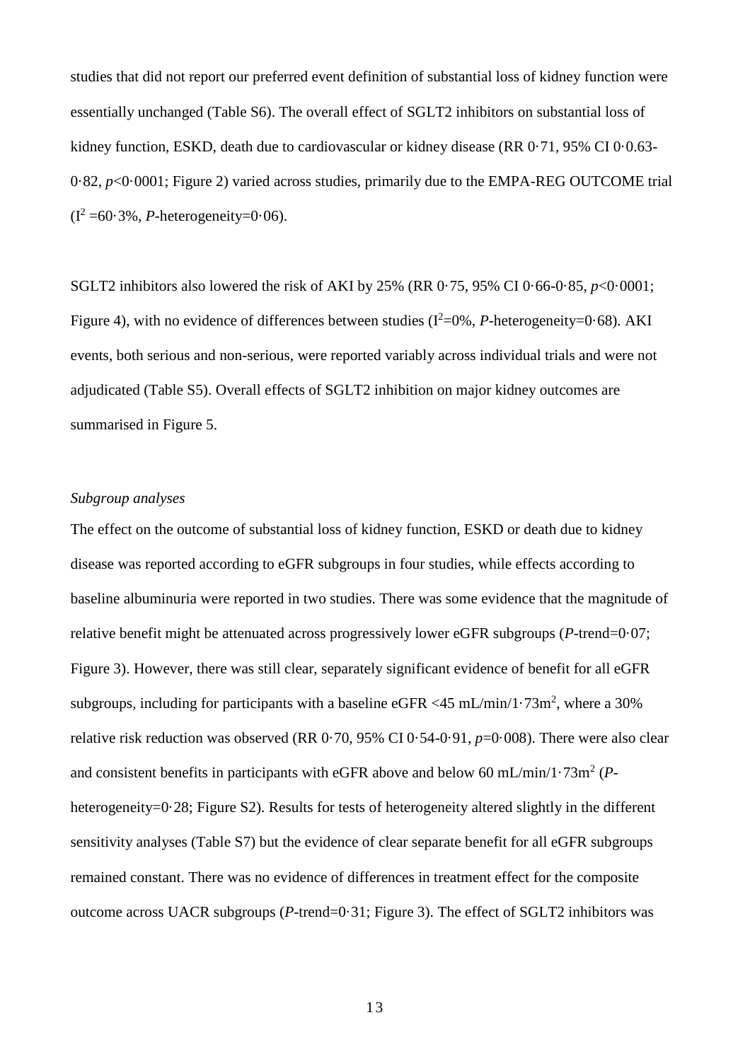studies that did not report our preferred event definition of substantial loss of kidney function were essentially unchanged (Table S6). The overall effect of SGLT2 inhibitors on substantial loss of kidney function, ESKD, death due to cardiovascular or kidney disease (RR 0.71, 95% CI 0.0.63-0·82, *p*<0·0001; Figure 2) varied across studies, primarily due to the EMPA-REG OUTCOME trial  $(I^2 = 60.3\%$ , *P*-heterogeneity=0.06).

SGLT2 inhibitors also lowered the risk of AKI by 25% (RR 0·75, 95% CI 0·66-0·85, *p*<0·0001; Figure 4), with no evidence of differences between studies  $(I^2=0\%, P\text{-heterogeneity}=0.68)$ . AKI events, both serious and non-serious, were reported variably across individual trials and were not adjudicated (Table S5). Overall effects of SGLT2 inhibition on major kidney outcomes are summarised in Figure 5.

# *Subgroup analyses*

The effect on the outcome of substantial loss of kidney function, ESKD or death due to kidney disease was reported according to eGFR subgroups in four studies, while effects according to baseline albuminuria were reported in two studies. There was some evidence that the magnitude of relative benefit might be attenuated across progressively lower eGFR subgroups (*P*-trend=0·07; Figure 3). However, there was still clear, separately significant evidence of benefit for all eGFR subgroups, including for participants with a baseline eGFR <45 mL/min/1 $\cdot$ 73m<sup>2</sup>, where a 30% relative risk reduction was observed (RR 0·70, 95% CI 0·54-0·91, *p*=0·008). There were also clear and consistent benefits in participants with eGFR above and below 60 mL/min/1 $\cdot$ 73m<sup>2</sup> (*P*heterogeneity=0.28; Figure S2). Results for tests of heterogeneity altered slightly in the different sensitivity analyses (Table S7) but the evidence of clear separate benefit for all eGFR subgroups remained constant. There was no evidence of differences in treatment effect for the composite outcome across UACR subgroups (*P*-trend=0·31; Figure 3). The effect of SGLT2 inhibitors was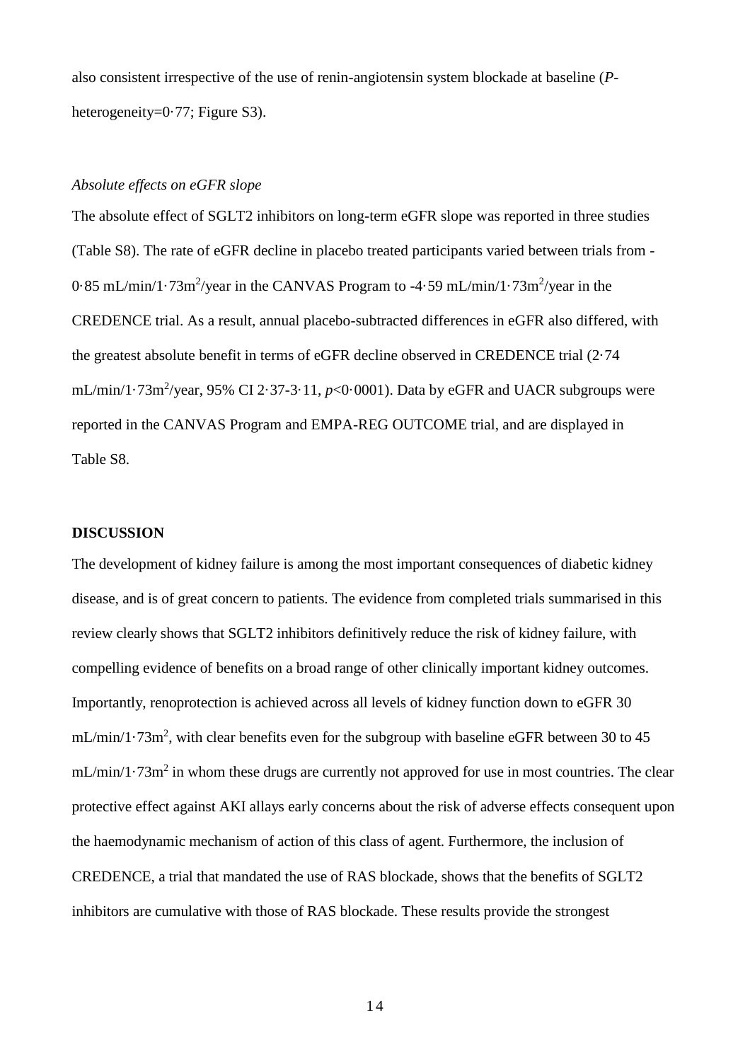also consistent irrespective of the use of renin-angiotensin system blockade at baseline (*P*heterogeneity=0.77; Figure S3).

# *Absolute effects on eGFR slope*

The absolute effect of SGLT2 inhibitors on long-term eGFR slope was reported in three studies (Table S8). The rate of eGFR decline in placebo treated participants varied between trials from -  $0.85$  mL/min/1 $\cdot$ 73m<sup>2</sup>/year in the CANVAS Program to  $-4.59$  mL/min/1 $\cdot$ 73m<sup>2</sup>/year in the CREDENCE trial. As a result, annual placebo-subtracted differences in eGFR also differed, with the greatest absolute benefit in terms of eGFR decline observed in CREDENCE trial (2·74  $mL/min/1.73m<sup>2</sup>/year, 95% CI 2.37-3.11, *p*<0.0001). Data by eGFR and UACR subgroups were$ reported in the CANVAS Program and EMPA-REG OUTCOME trial, and are displayed in Table S8.

#### **DISCUSSION**

The development of kidney failure is among the most important consequences of diabetic kidney disease, and is of great concern to patients. The evidence from completed trials summarised in this review clearly shows that SGLT2 inhibitors definitively reduce the risk of kidney failure, with compelling evidence of benefits on a broad range of other clinically important kidney outcomes. Importantly, renoprotection is achieved across all levels of kidney function down to eGFR 30  $mL/min/1.73m^2$ , with clear benefits even for the subgroup with baseline eGFR between 30 to 45  $mL/min/1.73m<sup>2</sup>$  in whom these drugs are currently not approved for use in most countries. The clear protective effect against AKI allays early concerns about the risk of adverse effects consequent upon the haemodynamic mechanism of action of this class of agent. Furthermore, the inclusion of CREDENCE, a trial that mandated the use of RAS blockade, shows that the benefits of SGLT2 inhibitors are cumulative with those of RAS blockade. These results provide the strongest

1 4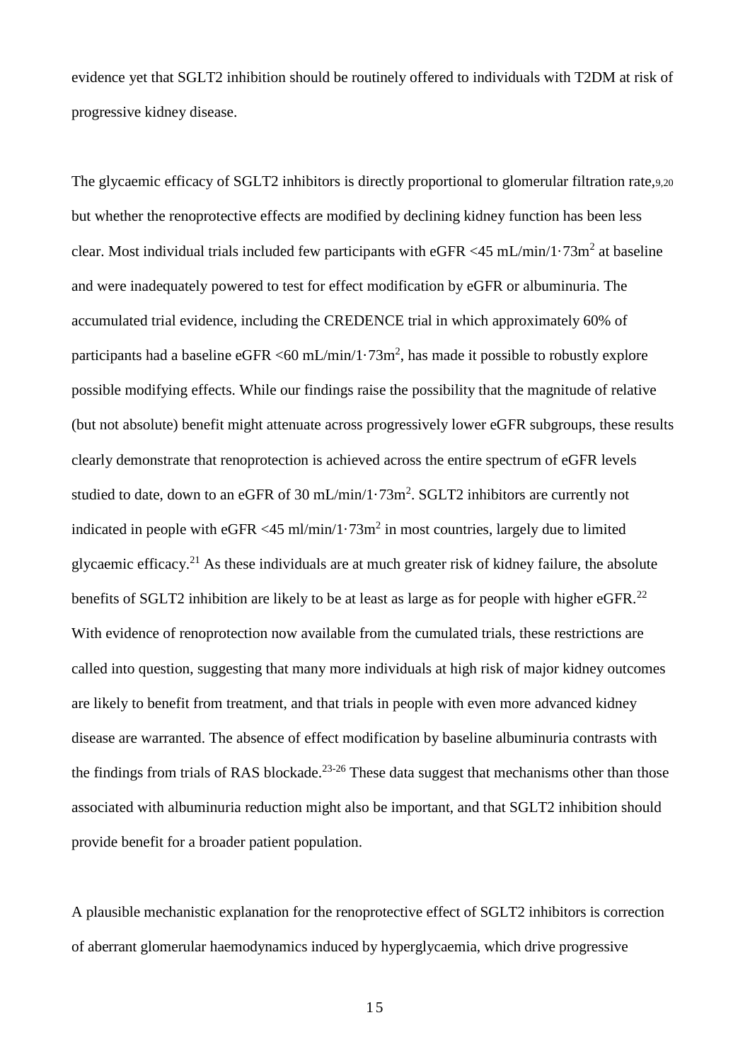evidence yet that SGLT2 inhibition should be routinely offered to individuals with T2DM at risk of progressive kidney disease.

The glycaemic efficacy of SGLT2 inhibitors is directly proportional to glomerular filtration rate,9,20 but whether the renoprotective effects are modified by declining kidney function has been less clear. Most individual trials included few participants with eGFR <45 mL/min/1 $\cdot$ 73m<sup>2</sup> at baseline and were inadequately powered to test for effect modification by eGFR or albuminuria. The accumulated trial evidence, including the CREDENCE trial in which approximately 60% of participants had a baseline eGFR <60 mL/min/1 $\cdot$ 73m<sup>2</sup>, has made it possible to robustly explore possible modifying effects. While our findings raise the possibility that the magnitude of relative (but not absolute) benefit might attenuate across progressively lower eGFR subgroups, these results clearly demonstrate that renoprotection is achieved across the entire spectrum of eGFR levels studied to date, down to an eGFR of 30 mL/min/1 $\cdot$ 73m<sup>2</sup>. SGLT2 inhibitors are currently not indicated in people with eGFR <45 ml/min/1 $\cdot$ 73m<sup>2</sup> in most countries, largely due to limited glycaemic efficacy.<sup>21</sup> As these individuals are at much greater risk of kidney failure, the absolute benefits of SGLT2 inhibition are likely to be at least as large as for people with higher eGFR.<sup>22</sup> With evidence of renoprotection now available from the cumulated trials, these restrictions are called into question, suggesting that many more individuals at high risk of major kidney outcomes are likely to benefit from treatment, and that trials in people with even more advanced kidney disease are warranted. The absence of effect modification by baseline albuminuria contrasts with the findings from trials of RAS blockade.<sup>23-26</sup> These data suggest that mechanisms other than those associated with albuminuria reduction might also be important, and that SGLT2 inhibition should provide benefit for a broader patient population.

A plausible mechanistic explanation for the renoprotective effect of SGLT2 inhibitors is correction of aberrant glomerular haemodynamics induced by hyperglycaemia, which drive progressive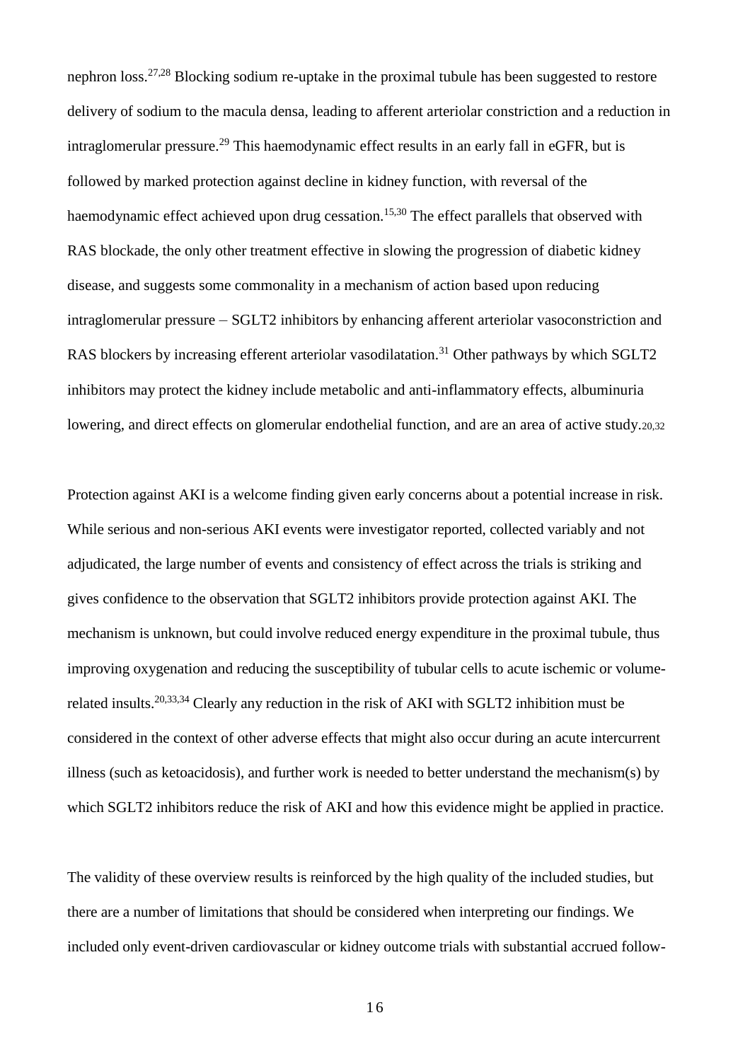nephron loss.<sup>27,28</sup> Blocking sodium re-uptake in the proximal tubule has been suggested to restore delivery of sodium to the macula densa, leading to afferent arteriolar constriction and a reduction in intraglomerular pressure.<sup>29</sup> This haemodynamic effect results in an early fall in eGFR, but is followed by marked protection against decline in kidney function, with reversal of the haemodynamic effect achieved upon drug cessation.<sup>15,30</sup> The effect parallels that observed with RAS blockade, the only other treatment effective in slowing the progression of diabetic kidney disease, and suggests some commonality in a mechanism of action based upon reducing intraglomerular pressure – SGLT2 inhibitors by enhancing afferent arteriolar vasoconstriction and RAS blockers by increasing efferent arteriolar vasodilatation.<sup>31</sup> Other pathways by which SGLT2 inhibitors may protect the kidney include metabolic and anti-inflammatory effects, albuminuria lowering, and direct effects on glomerular endothelial function, and are an area of active study.20,32

Protection against AKI is a welcome finding given early concerns about a potential increase in risk. While serious and non-serious AKI events were investigator reported, collected variably and not adjudicated, the large number of events and consistency of effect across the trials is striking and gives confidence to the observation that SGLT2 inhibitors provide protection against AKI. The mechanism is unknown, but could involve reduced energy expenditure in the proximal tubule, thus improving oxygenation and reducing the susceptibility of tubular cells to acute ischemic or volumerelated insults.20,33,34 Clearly any reduction in the risk of AKI with SGLT2 inhibition must be considered in the context of other adverse effects that might also occur during an acute intercurrent illness (such as ketoacidosis), and further work is needed to better understand the mechanism(s) by which SGLT2 inhibitors reduce the risk of AKI and how this evidence might be applied in practice.

The validity of these overview results is reinforced by the high quality of the included studies, but there are a number of limitations that should be considered when interpreting our findings. We included only event-driven cardiovascular or kidney outcome trials with substantial accrued follow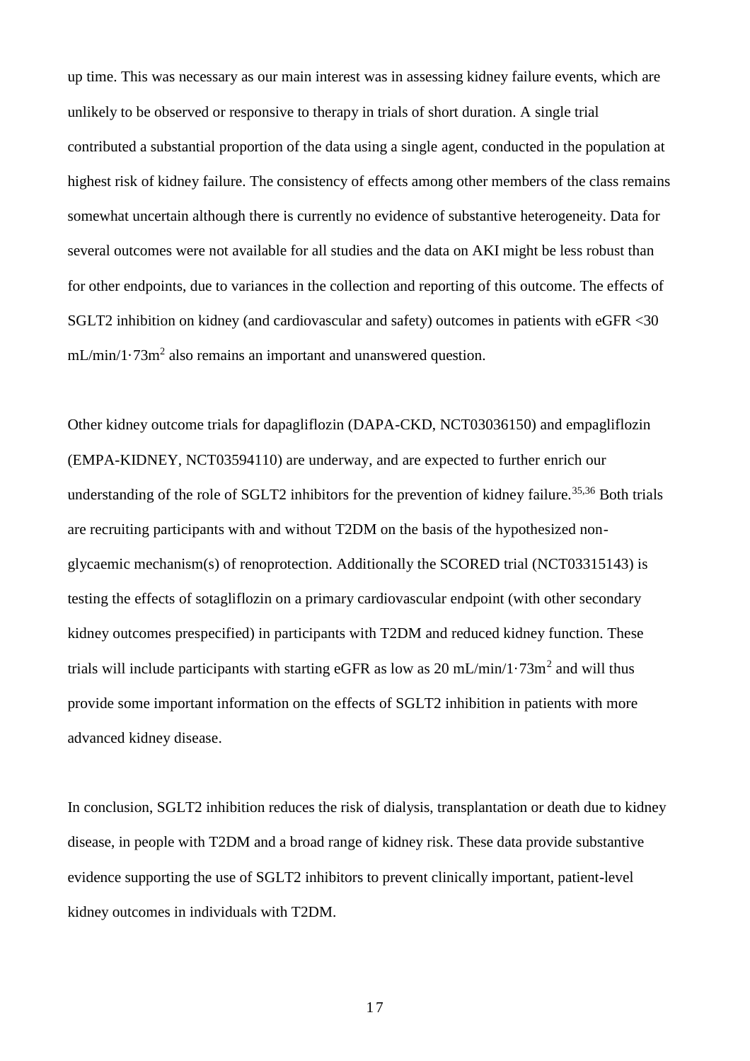up time. This was necessary as our main interest was in assessing kidney failure events, which are unlikely to be observed or responsive to therapy in trials of short duration. A single trial contributed a substantial proportion of the data using a single agent, conducted in the population at highest risk of kidney failure. The consistency of effects among other members of the class remains somewhat uncertain although there is currently no evidence of substantive heterogeneity. Data for several outcomes were not available for all studies and the data on AKI might be less robust than for other endpoints, due to variances in the collection and reporting of this outcome. The effects of SGLT2 inhibition on kidney (and cardiovascular and safety) outcomes in patients with eGFR <30  $mL/min/1.73m<sup>2</sup>$  also remains an important and unanswered question.

Other kidney outcome trials for dapagliflozin (DAPA-CKD, NCT03036150) and empagliflozin (EMPA-KIDNEY, NCT03594110) are underway, and are expected to further enrich our understanding of the role of SGLT2 inhibitors for the prevention of kidney failure.<sup>35,36</sup> Both trials are recruiting participants with and without T2DM on the basis of the hypothesized nonglycaemic mechanism(s) of renoprotection. Additionally the SCORED trial (NCT03315143) is testing the effects of sotagliflozin on a primary cardiovascular endpoint (with other secondary kidney outcomes prespecified) in participants with T2DM and reduced kidney function. These trials will include participants with starting eGFR as low as  $20 \text{ mL/min}/1.73 \text{m}^2$  and will thus provide some important information on the effects of SGLT2 inhibition in patients with more advanced kidney disease.

In conclusion, SGLT2 inhibition reduces the risk of dialysis, transplantation or death due to kidney disease, in people with T2DM and a broad range of kidney risk. These data provide substantive evidence supporting the use of SGLT2 inhibitors to prevent clinically important, patient-level kidney outcomes in individuals with T2DM.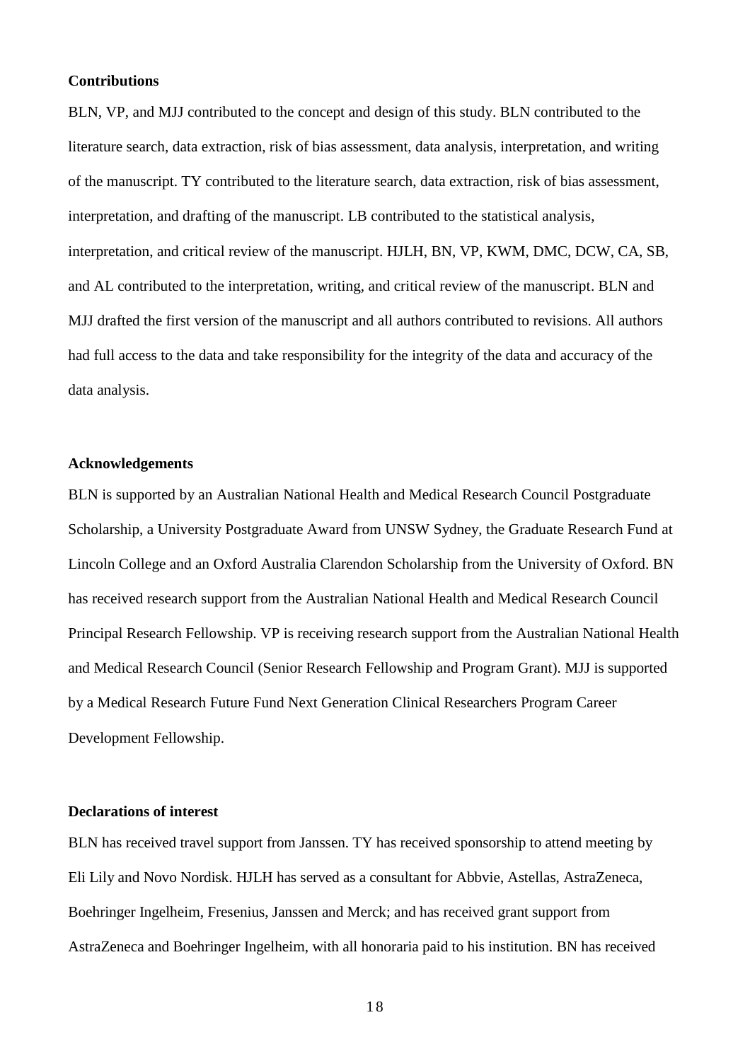#### **Contributions**

BLN, VP, and MJJ contributed to the concept and design of this study. BLN contributed to the literature search, data extraction, risk of bias assessment, data analysis, interpretation, and writing of the manuscript. TY contributed to the literature search, data extraction, risk of bias assessment, interpretation, and drafting of the manuscript. LB contributed to the statistical analysis, interpretation, and critical review of the manuscript. HJLH, BN, VP, KWM, DMC, DCW, CA, SB, and AL contributed to the interpretation, writing, and critical review of the manuscript. BLN and MJJ drafted the first version of the manuscript and all authors contributed to revisions. All authors had full access to the data and take responsibility for the integrity of the data and accuracy of the data analysis.

# **Acknowledgements**

BLN is supported by an Australian National Health and Medical Research Council Postgraduate Scholarship, a University Postgraduate Award from UNSW Sydney, the Graduate Research Fund at Lincoln College and an Oxford Australia Clarendon Scholarship from the University of Oxford. BN has received research support from the Australian National Health and Medical Research Council Principal Research Fellowship. VP is receiving research support from the Australian National Health and Medical Research Council (Senior Research Fellowship and Program Grant). MJJ is supported by a Medical Research Future Fund Next Generation Clinical Researchers Program Career Development Fellowship.

# **Declarations of interest**

BLN has received travel support from Janssen. TY has received sponsorship to attend meeting by Eli Lily and Novo Nordisk. HJLH has served as a consultant for Abbvie, Astellas, AstraZeneca, Boehringer Ingelheim, Fresenius, Janssen and Merck; and has received grant support from AstraZeneca and Boehringer Ingelheim, with all honoraria paid to his institution. BN has received

1 8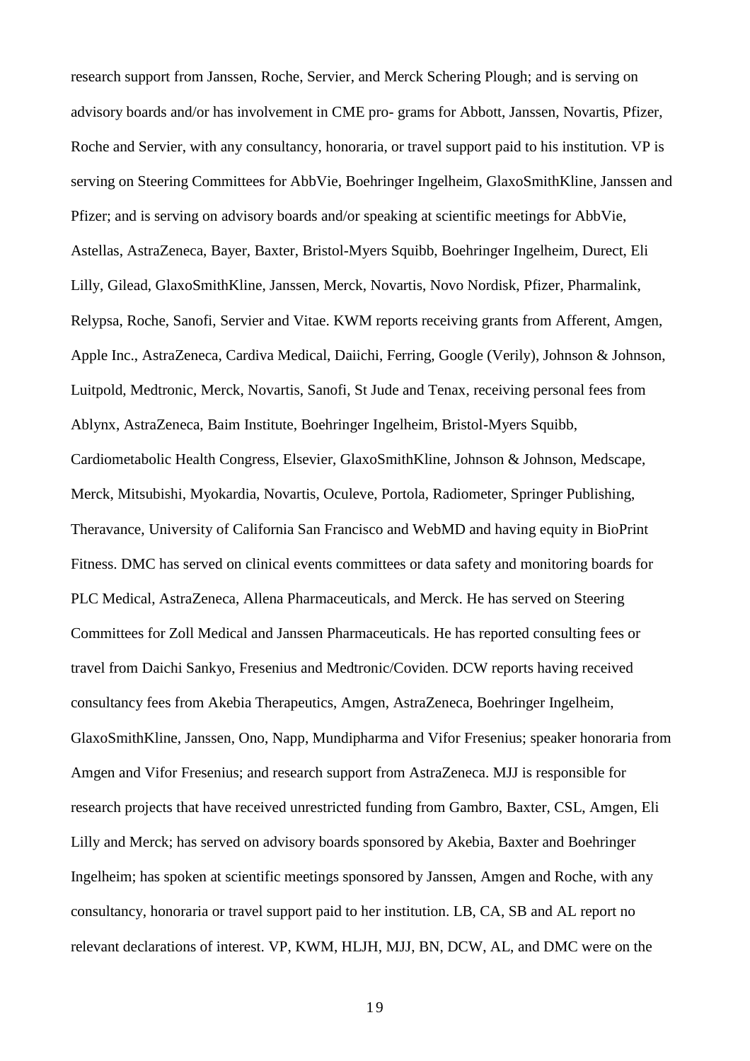research support from Janssen, Roche, Servier, and Merck Schering Plough; and is serving on advisory boards and/or has involvement in CME pro- grams for Abbott, Janssen, Novartis, Pfizer, Roche and Servier, with any consultancy, honoraria, or travel support paid to his institution. VP is serving on Steering Committees for AbbVie, Boehringer Ingelheim, GlaxoSmithKline, Janssen and Pfizer; and is serving on advisory boards and/or speaking at scientific meetings for AbbVie, Astellas, AstraZeneca, Bayer, Baxter, Bristol-Myers Squibb, Boehringer Ingelheim, Durect, Eli Lilly, Gilead, GlaxoSmithKline, Janssen, Merck, Novartis, Novo Nordisk, Pfizer, Pharmalink, Relypsa, Roche, Sanofi, Servier and Vitae. KWM reports receiving grants from Afferent, Amgen, Apple Inc., AstraZeneca, Cardiva Medical, Daiichi, Ferring, Google (Verily), Johnson & Johnson, Luitpold, Medtronic, Merck, Novartis, Sanofi, St Jude and Tenax, receiving personal fees from Ablynx, AstraZeneca, Baim Institute, Boehringer Ingelheim, Bristol-Myers Squibb, Cardiometabolic Health Congress, Elsevier, GlaxoSmithKline, Johnson & Johnson, Medscape, Merck, Mitsubishi, Myokardia, Novartis, Oculeve, Portola, Radiometer, Springer Publishing, Theravance, University of California San Francisco and WebMD and having equity in BioPrint Fitness. DMC has served on clinical events committees or data safety and monitoring boards for PLC Medical, AstraZeneca, Allena Pharmaceuticals, and Merck. He has served on Steering Committees for Zoll Medical and Janssen Pharmaceuticals. He has reported consulting fees or travel from Daichi Sankyo, Fresenius and Medtronic/Coviden. DCW reports having received consultancy fees from Akebia Therapeutics, Amgen, AstraZeneca, Boehringer Ingelheim, GlaxoSmithKline, Janssen, Ono, Napp, Mundipharma and Vifor Fresenius; speaker honoraria from Amgen and Vifor Fresenius; and research support from AstraZeneca. MJJ is responsible for research projects that have received unrestricted funding from Gambro, Baxter, CSL, Amgen, Eli Lilly and Merck; has served on advisory boards sponsored by Akebia, Baxter and Boehringer Ingelheim; has spoken at scientific meetings sponsored by Janssen, Amgen and Roche, with any consultancy, honoraria or travel support paid to her institution. LB, CA, SB and AL report no relevant declarations of interest. VP, KWM, HLJH, MJJ, BN, DCW, AL, and DMC were on the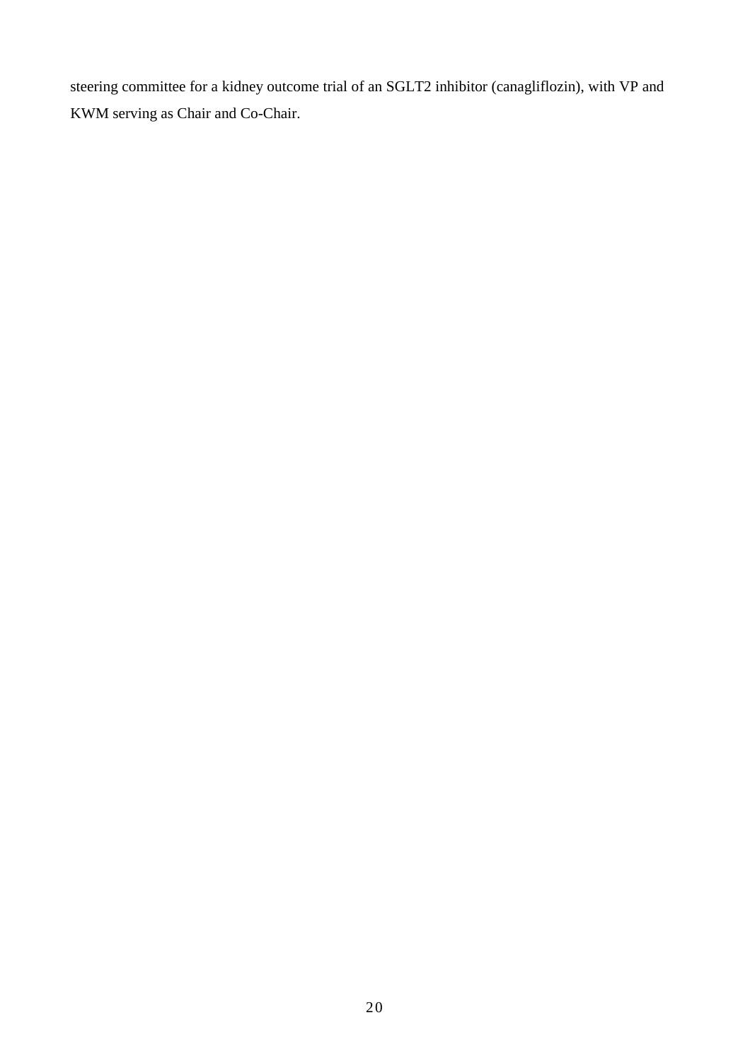steering committee for a kidney outcome trial of an SGLT2 inhibitor (canagliflozin), with VP and KWM serving as Chair and Co-Chair.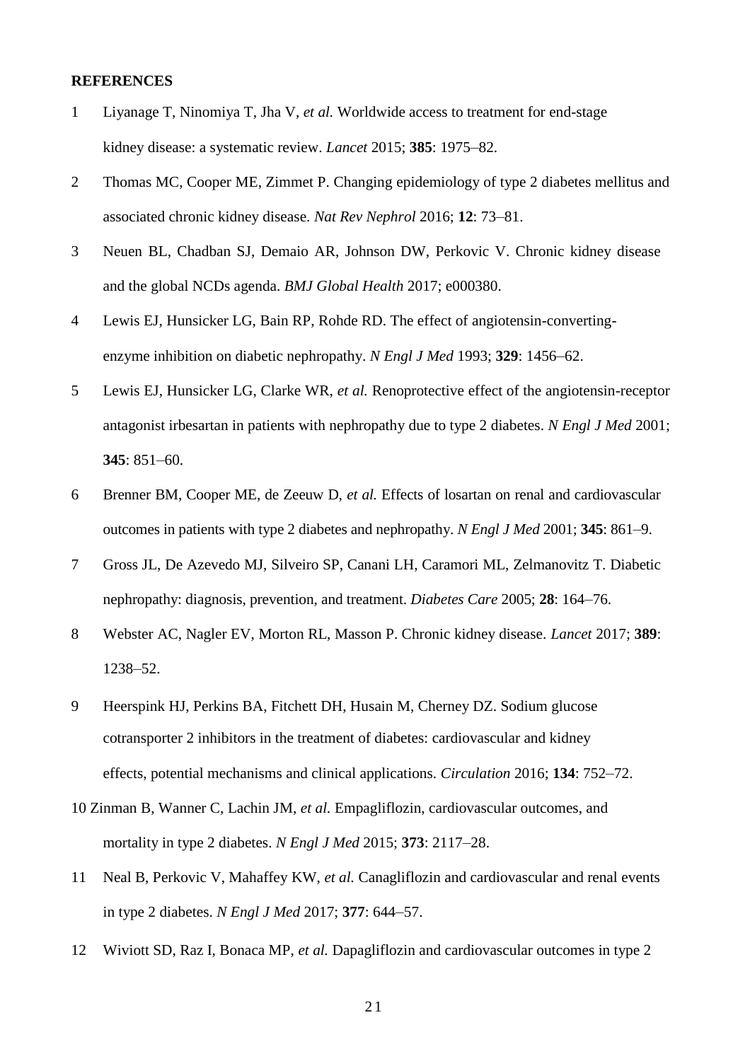#### **REFERENCES**

- 1 Liyanage T, Ninomiya T, Jha V, *et al.* Worldwide access to treatment for end-stage kidney disease: a systematic review. *Lancet* 2015; **385**: 1975–82.
- 2 Thomas MC, Cooper ME, Zimmet P. Changing epidemiology of type 2 diabetes mellitus and associated chronic kidney disease. *Nat Rev Nephrol* 2016; **12**: 73–81.
- 3 Neuen BL, Chadban SJ, Demaio AR, Johnson DW, Perkovic V. Chronic kidney disease and the global NCDs agenda. *BMJ Global Health* 2017; e000380.
- 4 Lewis EJ, Hunsicker LG, Bain RP, Rohde RD. The effect of angiotensin-convertingenzyme inhibition on diabetic nephropathy. *N Engl J Med* 1993; **329**: 1456–62.
- 5 Lewis EJ, Hunsicker LG, Clarke WR, *et al.* Renoprotective effect of the angiotensin-receptor antagonist irbesartan in patients with nephropathy due to type 2 diabetes. *N Engl J Med* 2001; **345**: 851–60.
- 6 Brenner BM, Cooper ME, de Zeeuw D, *et al.* Effects of losartan on renal and cardiovascular outcomes in patients with type 2 diabetes and nephropathy. *N Engl J Med* 2001; **345**: 861–9.
- 7 Gross JL, De Azevedo MJ, Silveiro SP, Canani LH, Caramori ML, Zelmanovitz T. Diabetic nephropathy: diagnosis, prevention, and treatment. *Diabetes Care* 2005; **28**: 164–76.
- 8 Webster AC, Nagler EV, Morton RL, Masson P. Chronic kidney disease. *Lancet* 2017; **389**: 1238–52.
- 9 Heerspink HJ, Perkins BA, Fitchett DH, Husain M, Cherney DZ. Sodium glucose cotransporter 2 inhibitors in the treatment of diabetes: cardiovascular and kidney effects, potential mechanisms and clinical applications. *Circulation* 2016; **134**: 752–72.
- 10 Zinman B, Wanner C, Lachin JM, *et al.* Empagliflozin, cardiovascular outcomes, and mortality in type 2 diabetes. *N Engl J Med* 2015; **373**: 2117–28.
- 11 Neal B, Perkovic V, Mahaffey KW, *et al.* Canagliflozin and cardiovascular and renal events in type 2 diabetes. *N Engl J Med* 2017; **377**: 644–57.
- 12 Wiviott SD, Raz I, Bonaca MP, *et al.* Dapagliflozin and cardiovascular outcomes in type 2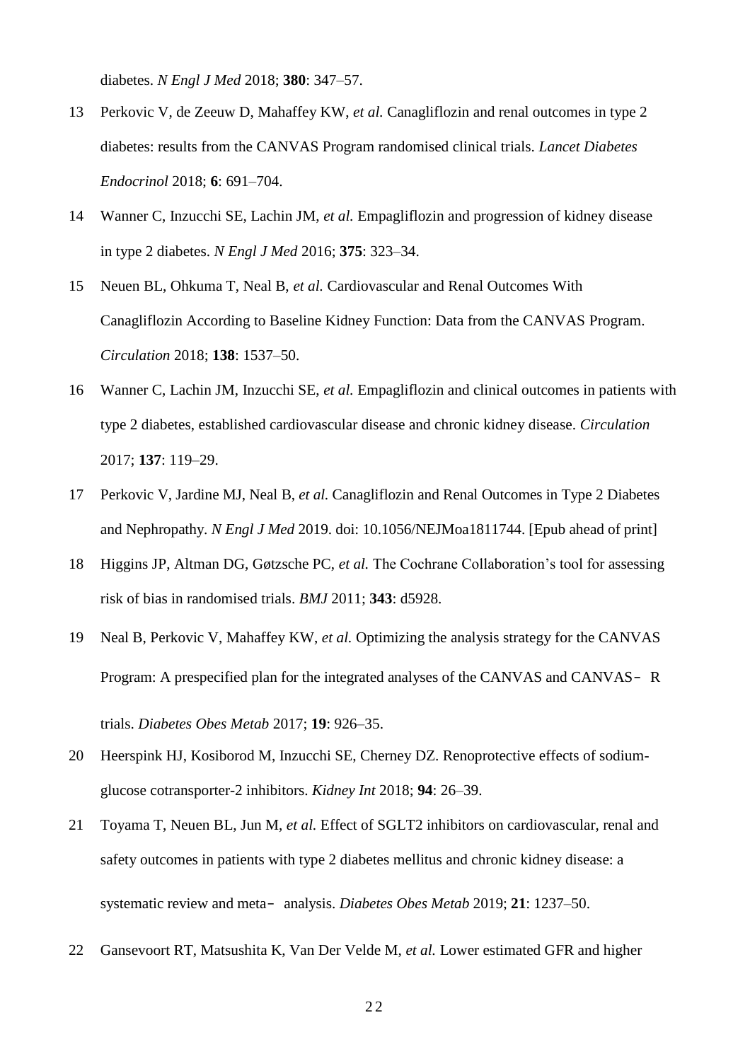diabetes. *N Engl J Med* 2018; **380**: 347–57.

- 13 Perkovic V, de Zeeuw D, Mahaffey KW, *et al.* Canagliflozin and renal outcomes in type 2 diabetes: results from the CANVAS Program randomised clinical trials. *Lancet Diabetes Endocrinol* 2018; **6**: 691–704.
- 14 Wanner C, Inzucchi SE, Lachin JM, *et al.* Empagliflozin and progression of kidney disease in type 2 diabetes. *N Engl J Med* 2016; **375**: 323–34.
- 15 Neuen BL, Ohkuma T, Neal B, *et al.* Cardiovascular and Renal Outcomes With Canagliflozin According to Baseline Kidney Function: Data from the CANVAS Program. *Circulation* 2018; **138**: 1537–50.
- 16 Wanner C, Lachin JM, Inzucchi SE, *et al.* Empagliflozin and clinical outcomes in patients with type 2 diabetes, established cardiovascular disease and chronic kidney disease. *Circulation*  2017; **137**: 119–29.
- 17 Perkovic V, Jardine MJ, Neal B, *et al.* Canagliflozin and Renal Outcomes in Type 2 Diabetes and Nephropathy. *N Engl J Med* 2019. doi: 10.1056/NEJMoa1811744. [Epub ahead of print]
- 18 Higgins JP, Altman DG, Gøtzsche PC, *et al.* The Cochrane Collaboration's tool for assessing risk of bias in randomised trials. *BMJ* 2011; **343**: d5928.
- 19 Neal B, Perkovic V, Mahaffey KW, *et al.* Optimizing the analysis strategy for the CANVAS Program: A prespecified plan for the integrated analyses of the CANVAS and CANVAS- R trials. *Diabetes Obes Metab* 2017; **19**: 926–35.
- 20 Heerspink HJ, Kosiborod M, Inzucchi SE, Cherney DZ. Renoprotective effects of sodiumglucose cotransporter-2 inhibitors. *Kidney Int* 2018; **94**: 26–39.
- 21 Toyama T, Neuen BL, Jun M, *et al.* Effect of SGLT2 inhibitors on cardiovascular, renal and safety outcomes in patients with type 2 diabetes mellitus and chronic kidney disease: a systematic review and meta- analysis. *Diabetes Obes Metab* 2019; **21**: 1237–50.
- 22 Gansevoort RT, Matsushita K, Van Der Velde M, *et al.* Lower estimated GFR and higher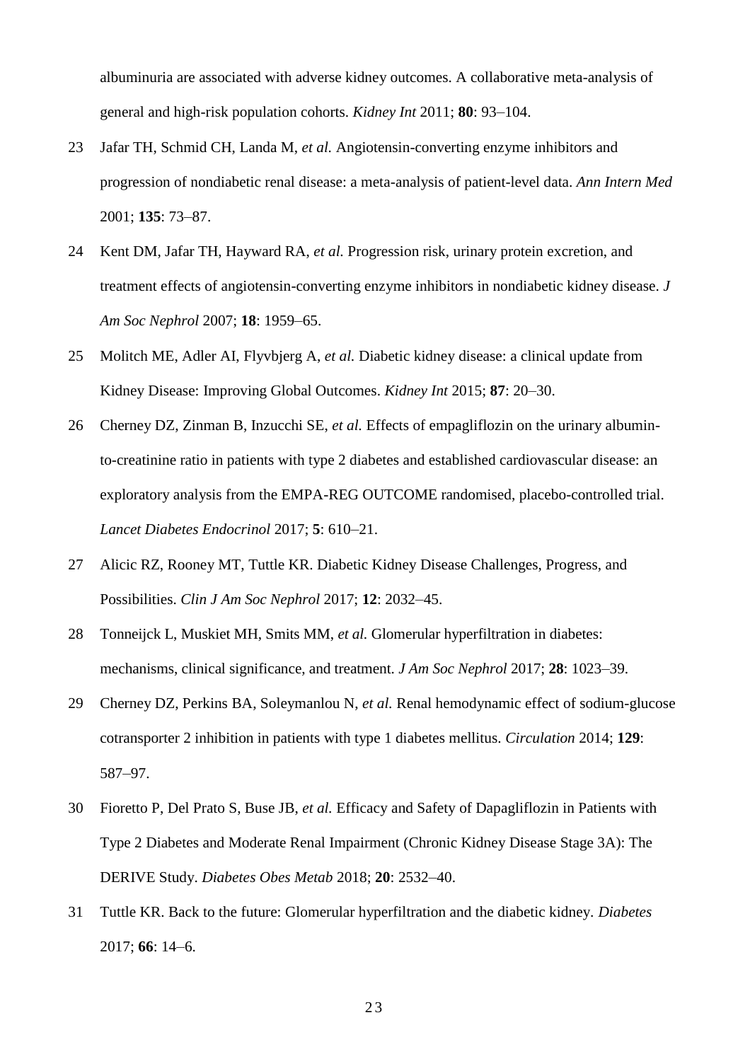albuminuria are associated with adverse kidney outcomes. A collaborative meta-analysis of general and high-risk population cohorts. *Kidney Int* 2011; **80**: 93–104.

- 23 Jafar TH, Schmid CH, Landa M, *et al.* Angiotensin-converting enzyme inhibitors and progression of nondiabetic renal disease: a meta-analysis of patient-level data. *Ann Intern Med*  2001; **135**: 73–87.
- 24 Kent DM, Jafar TH, Hayward RA, *et al.* Progression risk, urinary protein excretion, and treatment effects of angiotensin-converting enzyme inhibitors in nondiabetic kidney disease. *J Am Soc Nephrol* 2007; **18**: 1959–65.
- 25 Molitch ME, Adler AI, Flyvbjerg A, *et al.* Diabetic kidney disease: a clinical update from Kidney Disease: Improving Global Outcomes. *Kidney Int* 2015; **87**: 20–30.
- 26 Cherney DZ, Zinman B, Inzucchi SE, *et al.* Effects of empagliflozin on the urinary albuminto-creatinine ratio in patients with type 2 diabetes and established cardiovascular disease: an exploratory analysis from the EMPA-REG OUTCOME randomised, placebo-controlled trial. *Lancet Diabetes Endocrinol* 2017; **5**: 610–21.
- 27 Alicic RZ, Rooney MT, Tuttle KR. Diabetic Kidney Disease Challenges, Progress, and Possibilities. *Clin J Am Soc Nephrol* 2017; **12**: 2032–45.
- 28 Tonneijck L, Muskiet MH, Smits MM, *et al.* Glomerular hyperfiltration in diabetes: mechanisms, clinical significance, and treatment. *J Am Soc Nephrol* 2017; **28**: 1023–39.
- 29 Cherney DZ, Perkins BA, Soleymanlou N, *et al.* Renal hemodynamic effect of sodium-glucose cotransporter 2 inhibition in patients with type 1 diabetes mellitus. *Circulation* 2014; **129**: 587–97.
- 30 Fioretto P, Del Prato S, Buse JB, *et al.* Efficacy and Safety of Dapagliflozin in Patients with Type 2 Diabetes and Moderate Renal Impairment (Chronic Kidney Disease Stage 3A): The DERIVE Study. *Diabetes Obes Metab* 2018; **20**: 2532–40.
- 31 Tuttle KR. Back to the future: Glomerular hyperfiltration and the diabetic kidney. *Diabetes*  2017; **66**: 14–6.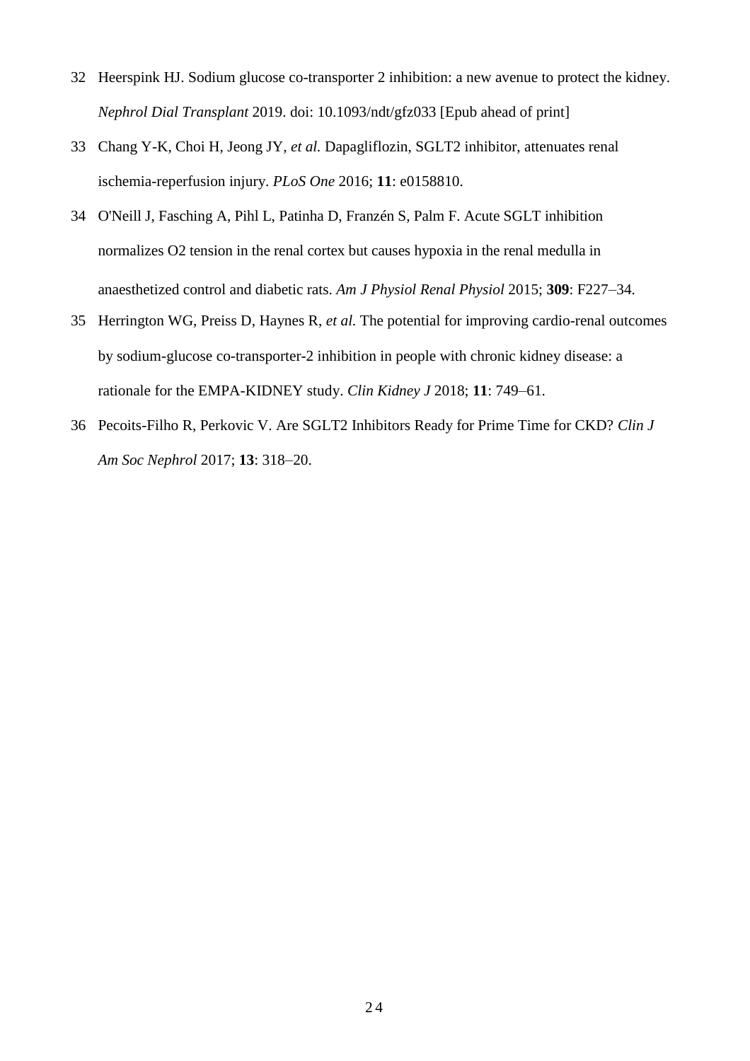- 32 Heerspink HJ. Sodium glucose co-transporter 2 inhibition: a new avenue to protect the kidney. *Nephrol Dial Transplant* 2019. doi: 10.1093/ndt/gfz033 [Epub ahead of print]
- 33 Chang Y-K, Choi H, Jeong JY, *et al.* Dapagliflozin, SGLT2 inhibitor, attenuates renal ischemia-reperfusion injury. *PLoS One* 2016; **11**: e0158810.
- 34 O'Neill J, Fasching A, Pihl L, Patinha D, Franzén S, Palm F. Acute SGLT inhibition normalizes O2 tension in the renal cortex but causes hypoxia in the renal medulla in anaesthetized control and diabetic rats. *Am J Physiol Renal Physiol* 2015; **309**: F227–34.
- 35 Herrington WG, Preiss D, Haynes R, *et al.* The potential for improving cardio-renal outcomes by sodium-glucose co-transporter-2 inhibition in people with chronic kidney disease: a rationale for the EMPA-KIDNEY study. *Clin Kidney J* 2018; **11**: 749–61.
- 36 Pecoits-Filho R, Perkovic V. Are SGLT2 Inhibitors Ready for Prime Time for CKD? *Clin J Am Soc Nephrol* 2017; **13**: 318–20.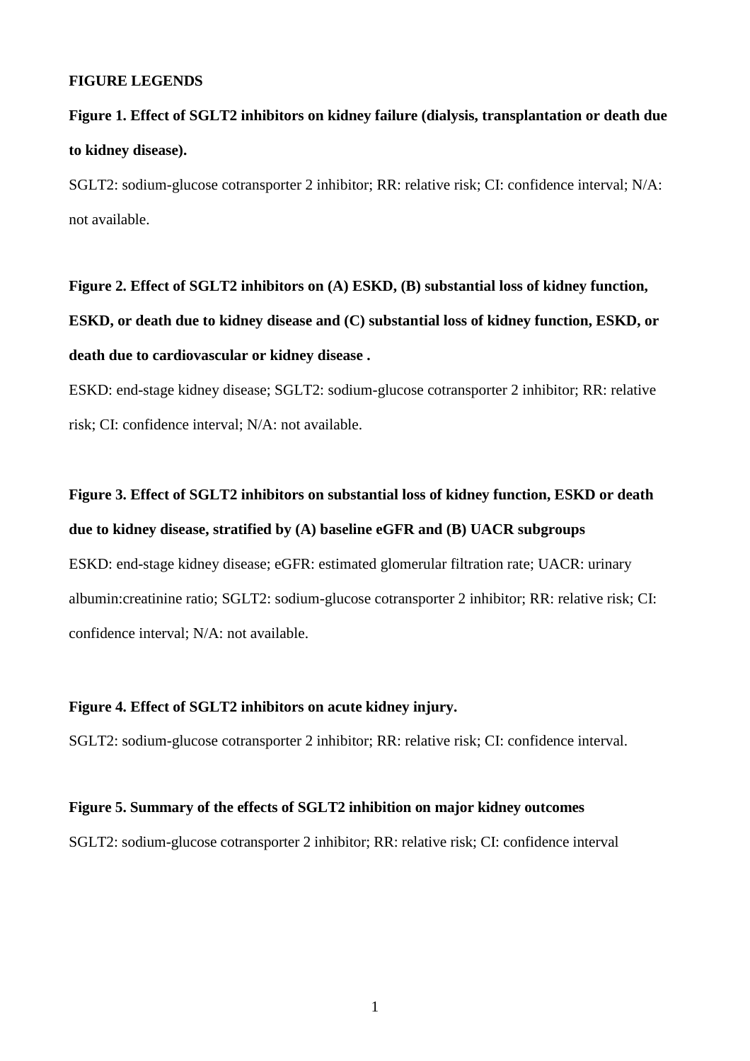#### **FIGURE LEGENDS**

# **Figure 1. Effect of SGLT2 inhibitors on kidney failure (dialysis, transplantation or death due to kidney disease).**

SGLT2: sodium-glucose cotransporter 2 inhibitor; RR: relative risk; CI: confidence interval; N/A: not available.

**Figure 2. Effect of SGLT2 inhibitors on (A) ESKD, (B) substantial loss of kidney function, ESKD, or death due to kidney disease and (C) substantial loss of kidney function, ESKD, or death due to cardiovascular or kidney disease .**

ESKD: end-stage kidney disease; SGLT2: sodium-glucose cotransporter 2 inhibitor; RR: relative risk; CI: confidence interval; N/A: not available.

# **Figure 3. Effect of SGLT2 inhibitors on substantial loss of kidney function, ESKD or death due to kidney disease, stratified by (A) baseline eGFR and (B) UACR subgroups** ESKD: end-stage kidney disease; eGFR: estimated glomerular filtration rate; UACR: urinary albumin:creatinine ratio; SGLT2: sodium-glucose cotransporter 2 inhibitor; RR: relative risk; CI:

confidence interval; N/A: not available.

#### **Figure 4. Effect of SGLT2 inhibitors on acute kidney injury.**

SGLT2: sodium-glucose cotransporter 2 inhibitor; RR: relative risk; CI: confidence interval.

# **Figure 5. Summary of the effects of SGLT2 inhibition on major kidney outcomes**

SGLT2: sodium-glucose cotransporter 2 inhibitor; RR: relative risk; CI: confidence interval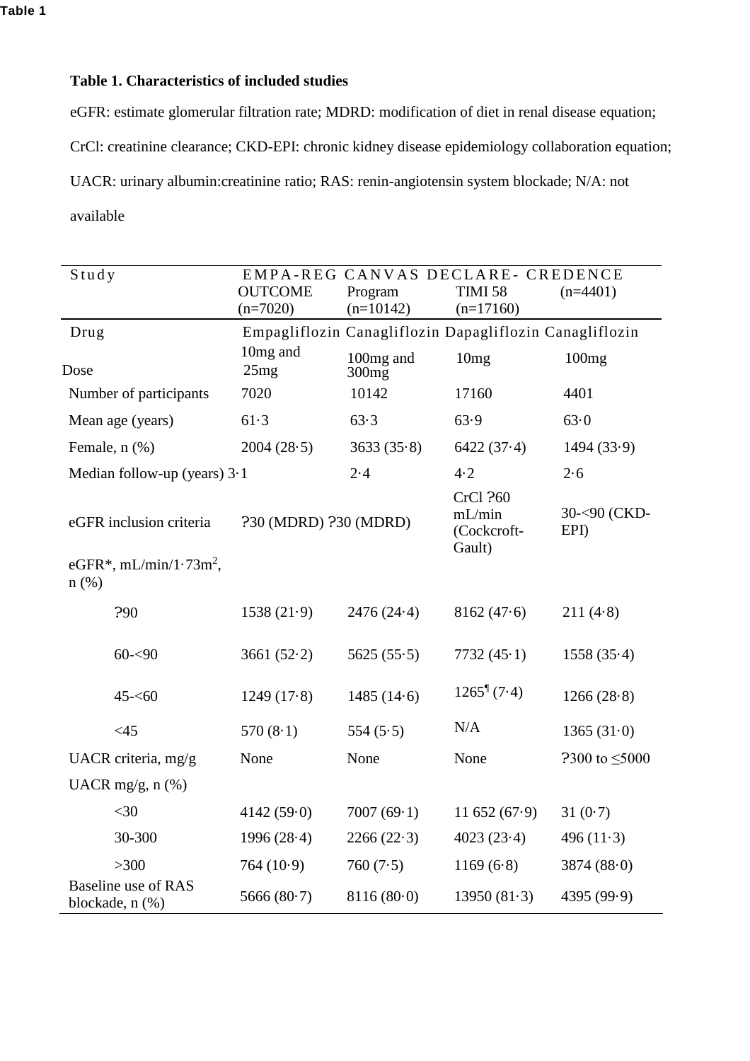# **Table 1. Characteristics of included studies**

eGFR: estimate glomerular filtration rate; MDRD: modification of diet in renal disease equation; CrCl: creatinine clearance; CKD-EPI: chronic kidney disease epidemiology collaboration equation; UACR: urinary albumin:creatinine ratio; RAS: renin-angiotensin system blockade; N/A: not available

| Study                                  | EMPA-REG CANVAS DECLARE- CREDENCE |                                                         |                                             |                       |  |  |
|----------------------------------------|-----------------------------------|---------------------------------------------------------|---------------------------------------------|-----------------------|--|--|
|                                        | <b>OUTCOME</b>                    | Program                                                 | <b>TIMI 58</b>                              | $(n=4401)$            |  |  |
|                                        | $(n=7020)$                        | $(n=10142)$                                             | $(n=17160)$                                 |                       |  |  |
| Drug                                   |                                   | Empagliflozin Canagliflozin Dapagliflozin Canagliflozin |                                             |                       |  |  |
| Dose                                   | 10mg and<br>25mg                  | 100 <sub>mg</sub> and<br>300mg                          | 10mg                                        | 100mg                 |  |  |
| Number of participants                 | 7020                              | 10142                                                   | 17160                                       | 4401                  |  |  |
| Mean age (years)                       | 61.3                              | 63.3                                                    | 63.9                                        | 63.0                  |  |  |
| Female, n (%)                          | 2004(28.5)                        | 3633(35.8)                                              | 6422(37.4)                                  | 1494(33.9)            |  |  |
| Median follow-up (years) $3.1$         |                                   | 2.4                                                     | 4.2                                         | 2.6                   |  |  |
| eGFR inclusion criteria                | ?30 (MDRD) ?30 (MDRD)             |                                                         | CrCl ?60<br>mL/min<br>(Cockcroft-<br>Gault) | 30-<90 (CKD-<br>EPI)  |  |  |
| eGFR*, $mL/min/1.73m^2$ ,<br>$n$ (%)   |                                   |                                                         |                                             |                       |  |  |
| ?90                                    | 1538(21.9)                        | 2476(24.4)                                              | 8162(47.6)                                  | 211(4.8)              |  |  |
| $60 - 90$                              | 3661 $(52.2)$                     | 5625(55.5)                                              | 7732(45.1)                                  | 1558(35.4)            |  |  |
| $45 - 60$                              | 1249(17.8)                        | 1485(14.6)                                              | $1265^{\frac{1}{2}}(7.4)$                   | 1266(28.8)            |  |  |
| $<45$                                  | 570 $(8.1)$                       | 554 $(5.5)$                                             | N/A                                         | 1365(31.0)            |  |  |
| UACR criteria, mg/g                    | None                              | None                                                    | None                                        | $2300$ to $\leq 5000$ |  |  |
| UACR mg/g, n (%)                       |                                   |                                                         |                                             |                       |  |  |
| $<$ 30                                 | 4142(59.0)                        | 7007(69.1)                                              | $11\,652\,(67.9)$                           | 31(0.7)               |  |  |
| 30-300                                 | 1996(28.4)                        | 2266(22.3)                                              | 4023(23.4)                                  | 496 $(11-3)$          |  |  |
| >300                                   | 764(10.9)                         | 760 $(7.5)$                                             | 1169(6.8)                                   | 3874(88.0)            |  |  |
| Baseline use of RAS<br>blockade, n (%) | 5666 $(80.7)$                     | 8116(80.0)                                              | 13950(81.3)                                 | 4395 (99.9)           |  |  |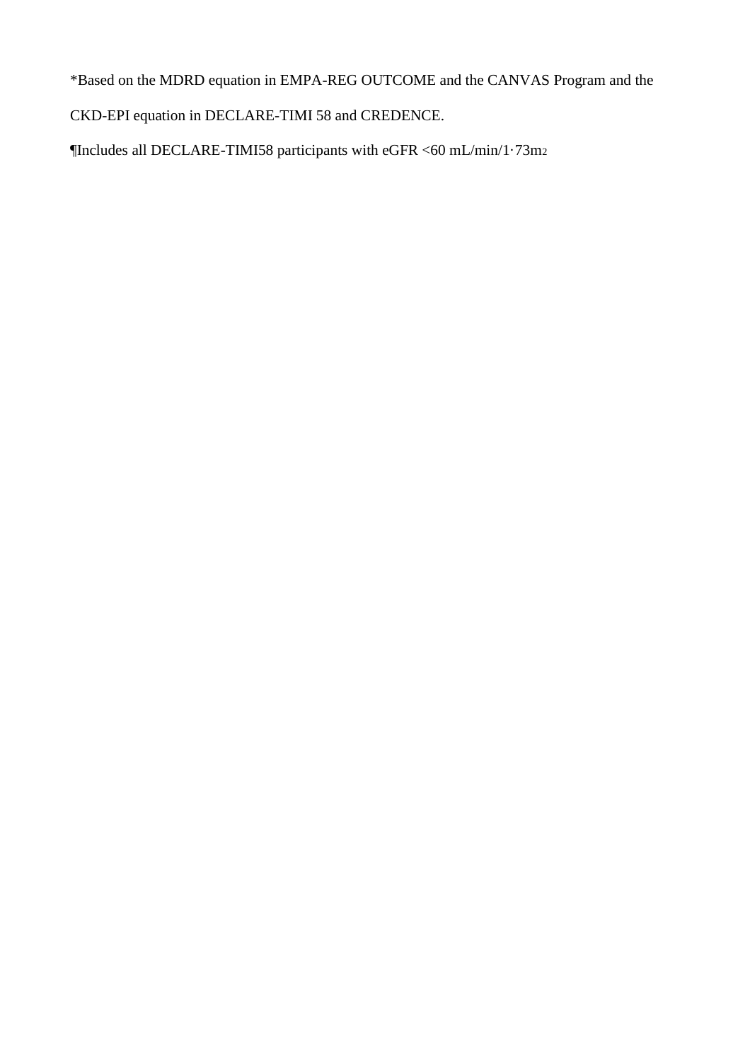\*Based on the MDRD equation in EMPA-REG OUTCOME and the CANVAS Program and the

CKD-EPI equation in DECLARE-TIMI 58 and CREDENCE.

¶Includes all DECLARE-TIMI58 participants with eGFR <60 mL/min/1·73m2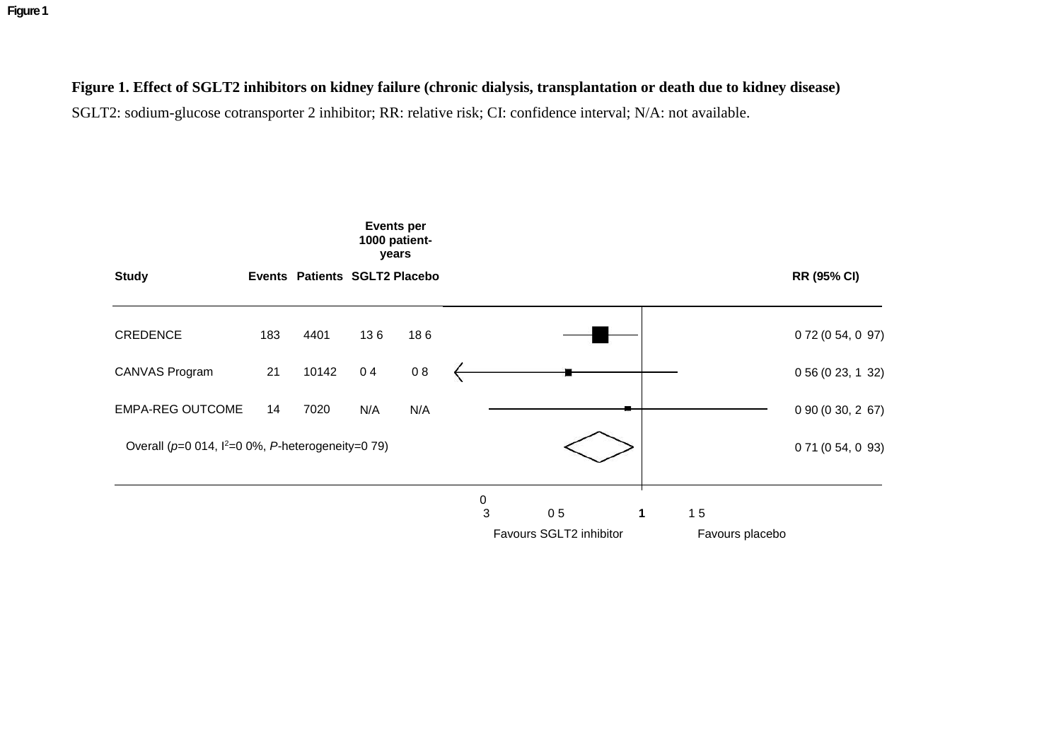**Figure 1**

# **Figure 1. Effect of SGLT2 inhibitors on kidney failure (chronic dialysis, transplantation or death due to kidney disease)**

SGLT2: sodium-glucose cotransporter 2 inhibitor; RR: relative risk; CI: confidence interval; N/A: not available.

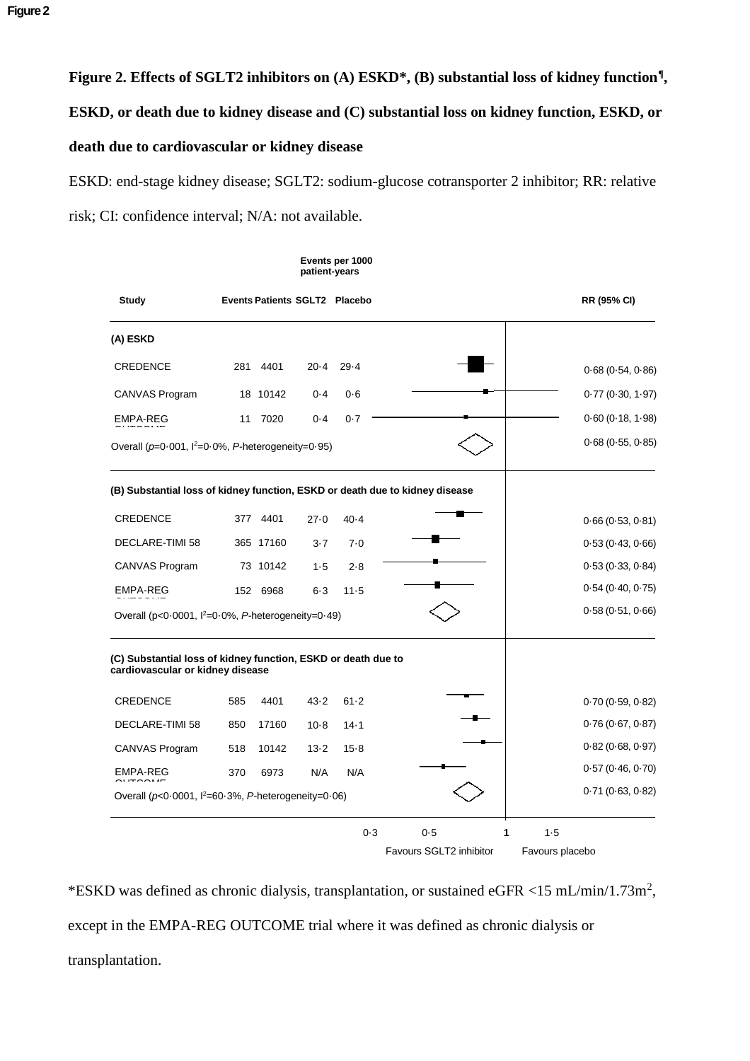# **Figure 2. Effects of SGLT2 inhibitors on (A) ESKD\*, (B) substantial loss of kidney function¶ , ESKD, or death due to kidney disease and (C) substantial loss on kidney function, ESKD, or death due to cardiovascular or kidney disease**

ESKD: end-stage kidney disease; SGLT2: sodium-glucose cotransporter 2 inhibitor; RR: relative risk; CI: confidence interval; N/A: not available.

|                                                                                                   |     |           | patient-years | Events per 1000                      |                         |                    |
|---------------------------------------------------------------------------------------------------|-----|-----------|---------------|--------------------------------------|-------------------------|--------------------|
| <b>Study</b>                                                                                      |     |           |               | <b>Events Patients SGLT2 Placebo</b> |                         | <b>RR (95% CI)</b> |
| (A) ESKD                                                                                          |     |           |               |                                      |                         |                    |
| <b>CREDENCE</b>                                                                                   | 281 | 4401      | $20 - 4$      | $29 - 4$                             |                         | 0.68(0.54, 0.86)   |
| CANVAS Program                                                                                    |     | 18 10142  | $0 - 4$       | 0.6                                  |                         | 0.77(0.30, 1.97)   |
| EMPA-REG                                                                                          | 11  | 7020      | $0 - 4$       | 0.7                                  |                         | 0.60(0.18, 1.98)   |
| Overall ( $p=0.001$ , $1^2=0.0\%$ , P-heterogeneity=0.95)                                         |     |           |               |                                      |                         | 0.68(0.55, 0.85)   |
| (B) Substantial loss of kidney function, ESKD or death due to kidney disease                      |     |           |               |                                      |                         |                    |
| <b>CREDENCE</b>                                                                                   | 377 | 4401      | 27.0          | $40 - 4$                             |                         | 0.66(0.53, 0.81)   |
| DECLARE-TIMI 58                                                                                   |     | 365 17160 | $3 - 7$       | 7.0                                  |                         | 0.53(0.43, 0.66)   |
| CANVAS Program                                                                                    |     | 73 10142  | $1 - 5$       | $2 - 8$                              |                         | 0.53(0.33, 0.84)   |
| EMPA-REG                                                                                          |     | 152 6968  | $6 - 3$       | $11 - 5$                             |                         | 0.54(0.40, 0.75)   |
| Overall ( $p < 0.0001$ , $l^2 = 0.0\%$ , P-heterogeneity=0.49)                                    |     |           |               |                                      |                         | 0.58(0.51, 0.66)   |
| (C) Substantial loss of kidney function, ESKD or death due to<br>cardiovascular or kidney disease |     |           |               |                                      |                         |                    |
| <b>CREDENCE</b>                                                                                   | 585 | 4401      | $43 - 2$      | $61 - 2$                             |                         | 0.70(0.59, 0.82)   |
| DECLARE-TIMI 58                                                                                   | 850 | 17160     | $10-8$        | $14 - 1$                             |                         | 0.76(0.67, 0.87)   |
| CANVAS Program                                                                                    | 518 | 10142     | $13 - 2$      | $15 - 8$                             |                         | 0.82(0.68, 0.97)   |
| EMPA-REG                                                                                          | 370 | 6973      | N/A           | N/A                                  |                         | 0.57(0.46, 0.70)   |
| Overall ( $p<0.0001$ , $l^2=60.3\%$ , P-heterogeneity=0.06)                                       |     |           |               |                                      |                         | 0.71(0.63, 0.82)   |
|                                                                                                   |     |           |               | 0.3                                  | 0.5                     | 1<br>$1 - 5$       |
|                                                                                                   |     |           |               |                                      | Favours SGLT2 inhibitor | Favours placebo    |

\*ESKD was defined as chronic dialysis, transplantation, or sustained eGFR <15 mL/min/1.73m<sup>2</sup> , except in the EMPA-REG OUTCOME trial where it was defined as chronic dialysis or transplantation.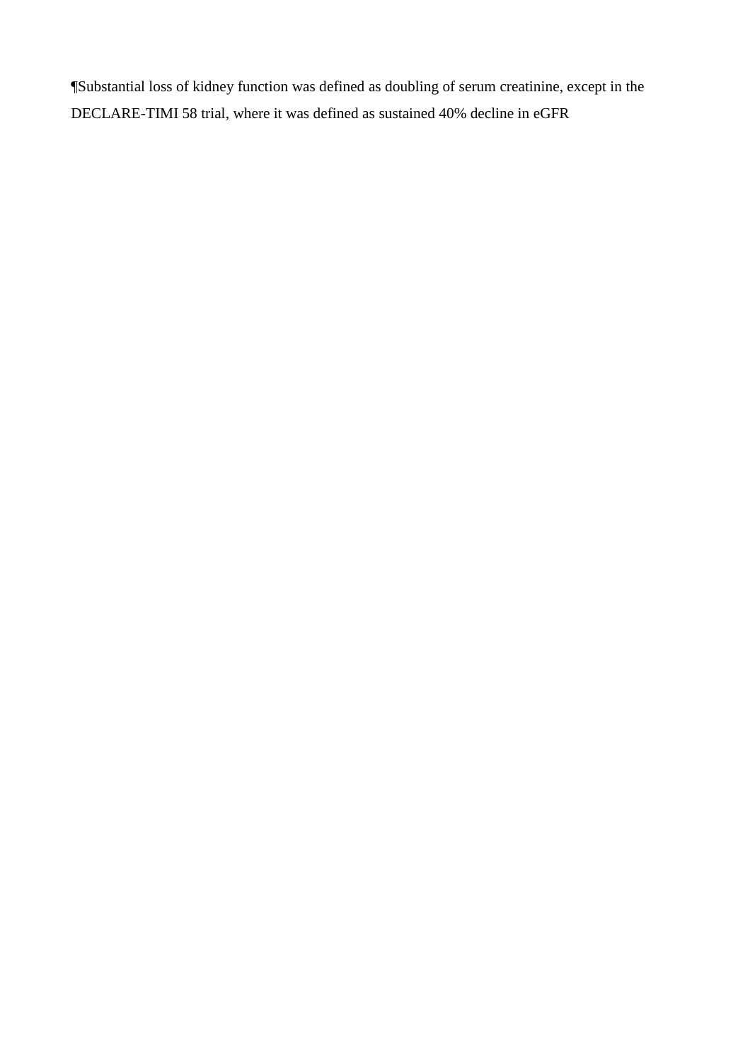¶Substantial loss of kidney function was defined as doubling of serum creatinine, except in the DECLARE-TIMI 58 trial, where it was defined as sustained 40% decline in eGFR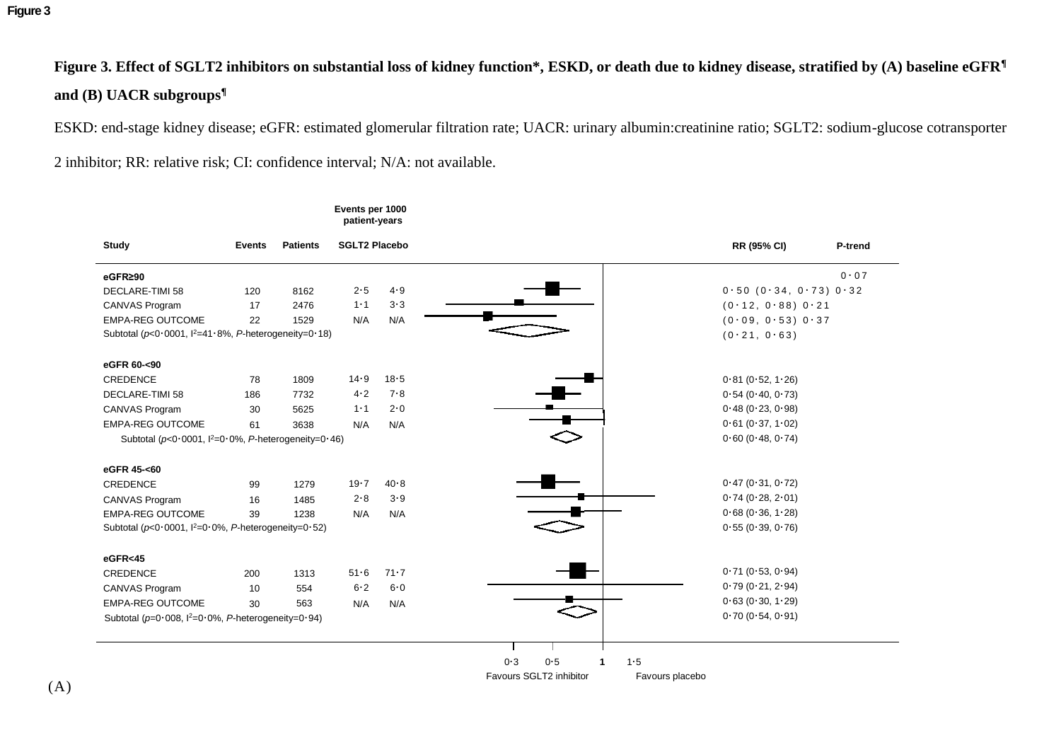**Figure 3**

**Figure 3. Effect of SGLT2 inhibitors on substantial loss of kidney function\*, ESKD, or death due to kidney disease, stratified by (A) baseline eGFR¶ and (B) UACR subgroups¶**

ESKD: end-stage kidney disease; eGFR: estimated glomerular filtration rate; UACR: urinary albumin:creatinine ratio; SGLT2: sodium-glucose cotransporter

2 inhibitor; RR: relative risk; CI: confidence interval; N/A: not available.

| Study                                                           | Events | <b>Patients</b> | <b>SGLT2 Placebo</b> |          |                         |              |                 | RR (95% CI)           | P-trend |
|-----------------------------------------------------------------|--------|-----------------|----------------------|----------|-------------------------|--------------|-----------------|-----------------------|---------|
| eGFR≥90                                                         |        |                 |                      |          |                         |              |                 |                       | 0.07    |
| <b>DECLARE-TIMI 58</b>                                          | 120    | 8162            | $2 - 5$              | $4 - 9$  |                         |              |                 | 0.50(0.34, 0.73)0.32  |         |
| CANVAS Program                                                  | 17     | 2476            | $1 - 1$              | $3 - 3$  |                         |              |                 | $(0.12, 0.88)$ 0.21   |         |
| <b>EMPA-REG OUTCOME</b>                                         | 22     | 1529            | N/A                  | N/A      |                         |              |                 | $(0.09, 0.53)$ $0.37$ |         |
| Subtotal ( $p$ <0.0001, $1^2$ =41.8%, P-heterogeneity=0.18)     |        |                 |                      |          |                         |              |                 | (0.21, 0.63)          |         |
| eGFR 60-<90                                                     |        |                 |                      |          |                         |              |                 |                       |         |
| <b>CREDENCE</b>                                                 | 78     | 1809            | $14 - 9$             | $18 - 5$ |                         |              |                 | 0.81(0.52, 1.26)      |         |
| <b>DECLARE-TIMI 58</b>                                          | 186    | 7732            | $4 - 2$              | $7 - 8$  |                         |              |                 | 0.54(0.40, 0.73)      |         |
| CANVAS Program                                                  | 30     | 5625            | $1 - 1$              | $2 - 0$  |                         |              |                 | 0.48(0.23, 0.98)      |         |
| <b>EMPA-REG OUTCOME</b>                                         | 61     | 3638            | N/A                  | N/A      |                         |              |                 | 0.61(0.37, 1.02)      |         |
| Subtotal ( $p < 0.0001$ , $1^2 = 0.0\%$ , P-heterogeneity=0.46) |        |                 |                      |          |                         |              |                 | 0.60(0.48, 0.74)      |         |
| eGFR 45-<60                                                     |        |                 |                      |          |                         |              |                 |                       |         |
| CREDENCE                                                        | 99     | 1279            | $19 - 7$             | $40 - 8$ |                         |              |                 | 0.47(0.31, 0.72)      |         |
| CANVAS Program                                                  | 16     | 1485            | $2 - 8$              | $3 - 9$  |                         |              |                 | 0.74(0.28, 2.01)      |         |
| <b>EMPA-REG OUTCOME</b>                                         | 39     | 1238            | N/A                  | N/A      |                         |              |                 | 0.68(0.36, 1.28)      |         |
| Subtotal ( $p < 0.0001$ , $1^2 = 0.0\%$ , P-heterogeneity=0.52) |        |                 |                      |          |                         |              |                 | 0.55(0.39, 0.76)      |         |
| eGFR<45                                                         |        |                 |                      |          |                         |              |                 |                       |         |
| <b>CREDENCE</b>                                                 | 200    | 1313            | $51-6$               | $71 - 7$ |                         |              |                 | 0.71(0.53, 0.94)      |         |
| <b>CANVAS Program</b>                                           | 10     | 554             | $6 - 2$              | $6 - 0$  |                         |              |                 | 0.79(0.21, 2.94)      |         |
| <b>EMPA-REG OUTCOME</b>                                         | 30     | 563             | N/A                  | N/A      |                         |              |                 | 0.63(0.30, 1.29)      |         |
| Subtotal ( $p=0.008$ , $1^2=0.0\%$ , P-heterogeneity=0.94)      |        |                 |                      |          |                         |              |                 | 0.70(0.54, 0.91)      |         |
|                                                                 |        |                 |                      |          |                         |              |                 |                       |         |
|                                                                 |        |                 |                      |          | $0 - 3$                 | $0 - 5$<br>1 | $1 - 5$         |                       |         |
|                                                                 |        |                 |                      |          | Favours SGLT2 inhibitor |              | Favours placebo |                       |         |

**Events per 1000 patient-years**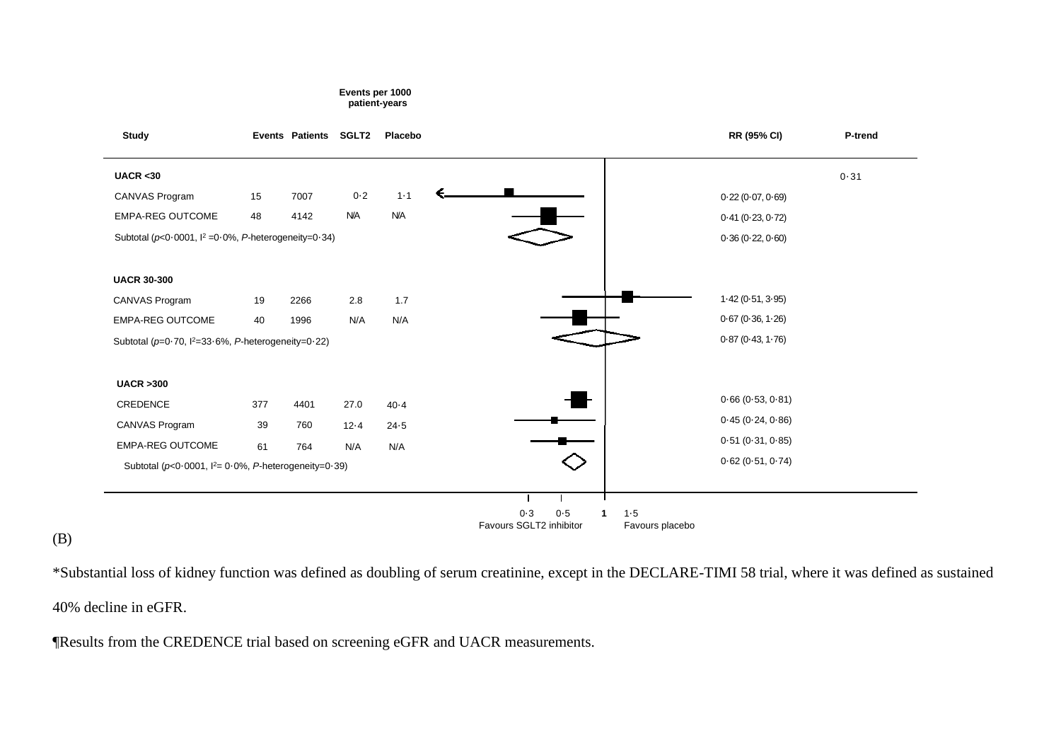#### **Events per 1000 patient-years**

| <b>Study</b>                                                |     | <b>Events Patients</b> | <b>SGLT2</b> | Placebo    |                                           |                            | RR (95% CI)      | P-trend  |
|-------------------------------------------------------------|-----|------------------------|--------------|------------|-------------------------------------------|----------------------------|------------------|----------|
| UACR < 30                                                   |     |                        |              |            |                                           |                            |                  | $0 - 31$ |
| CANVAS Program                                              | 15  | 7007                   | $0 - 2$      | $1 - 1$    |                                           |                            | 0.22(0.07, 0.69) |          |
| EMPA-REG OUTCOME                                            | 48  | 4142                   | <b>N/A</b>   | <b>N/A</b> |                                           |                            | 0.41(0.23, 0.72) |          |
| Subtotal ( $p<0.0001$ , $l^2=0.0\%$ , P-heterogeneity=0.34) |     |                        |              |            |                                           |                            | 0.36(0.22, 0.60) |          |
| <b>UACR 30-300</b>                                          |     |                        |              |            |                                           |                            |                  |          |
| CANVAS Program                                              | 19  | 2266                   | 2.8          | 1.7        |                                           |                            | 1.42(0.51, 3.95) |          |
| <b>EMPA-REG OUTCOME</b>                                     | 40  | 1996                   | N/A          | N/A        |                                           |                            | 0.67(0.36, 1.26) |          |
| Subtotal ( $p=0.70$ , $1^2=33.6\%$ , P-heterogeneity=0.22)  |     |                        |              |            |                                           |                            | 0.87(0.43, 1.76) |          |
| <b>UACR &gt;300</b>                                         |     |                        |              |            |                                           |                            |                  |          |
| CREDENCE                                                    | 377 | 4401                   | 27.0         | $40 - 4$   |                                           |                            | 0.66(0.53, 0.81) |          |
| CANVAS Program                                              | 39  | 760                    | $12 - 4$     | $24 - 5$   |                                           |                            | 0.45(0.24, 0.86) |          |
| <b>EMPA-REG OUTCOME</b>                                     | 61  | 764                    | N/A          | N/A        |                                           |                            | 0.51(0.31, 0.85) |          |
| Subtotal ( $p<0.0001$ , $l2=0.0%$ , P-heterogeneity=0.39)   |     |                        |              |            |                                           |                            | 0.62(0.51, 0.74) |          |
|                                                             |     |                        |              |            |                                           |                            |                  |          |
|                                                             |     |                        |              |            | $0 - 3$<br>0.5<br>Favours SGLT2 inhibitor | $1 - 5$<br>Favours placebo |                  |          |

# (B)

\*Substantial loss of kidney function was defined as doubling of serum creatinine, except in the DECLARE-TIMI 58 trial, where it was defined as sustained 40% decline in eGFR.

¶Results from the CREDENCE trial based on screening eGFR and UACR measurements.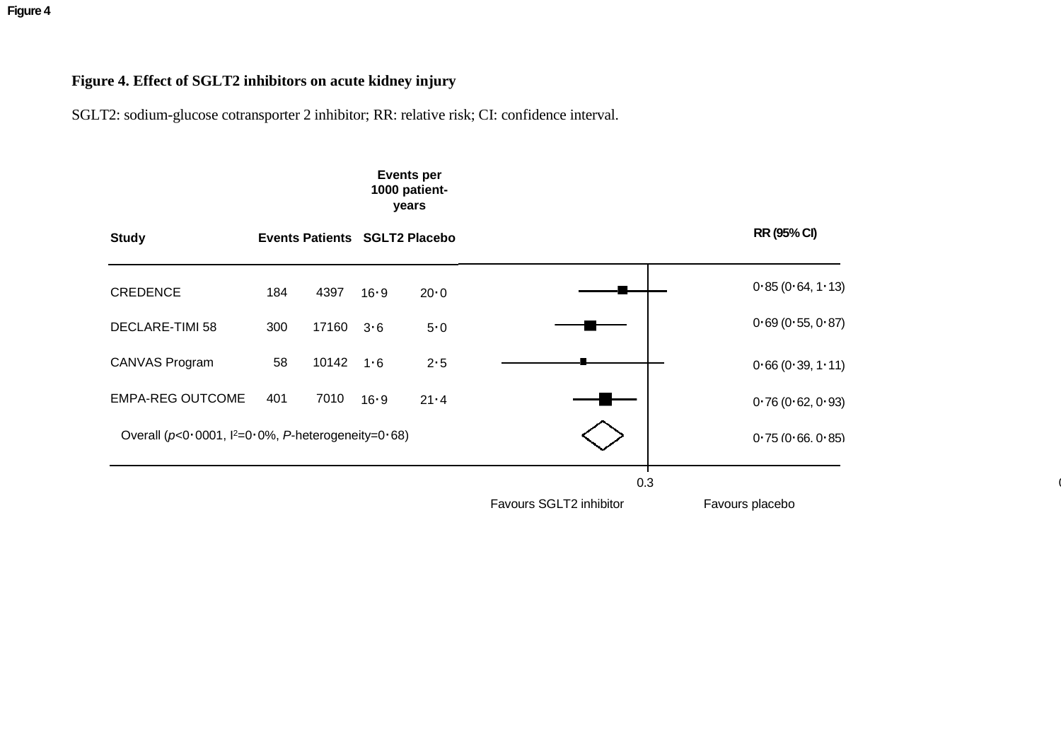**Figure 4**

# **Figure 4. Effect of SGLT2 inhibitors on acute kidney injury**

SGLT2: sodium-glucose cotransporter 2 inhibitor; RR: relative risk; CI: confidence interval.

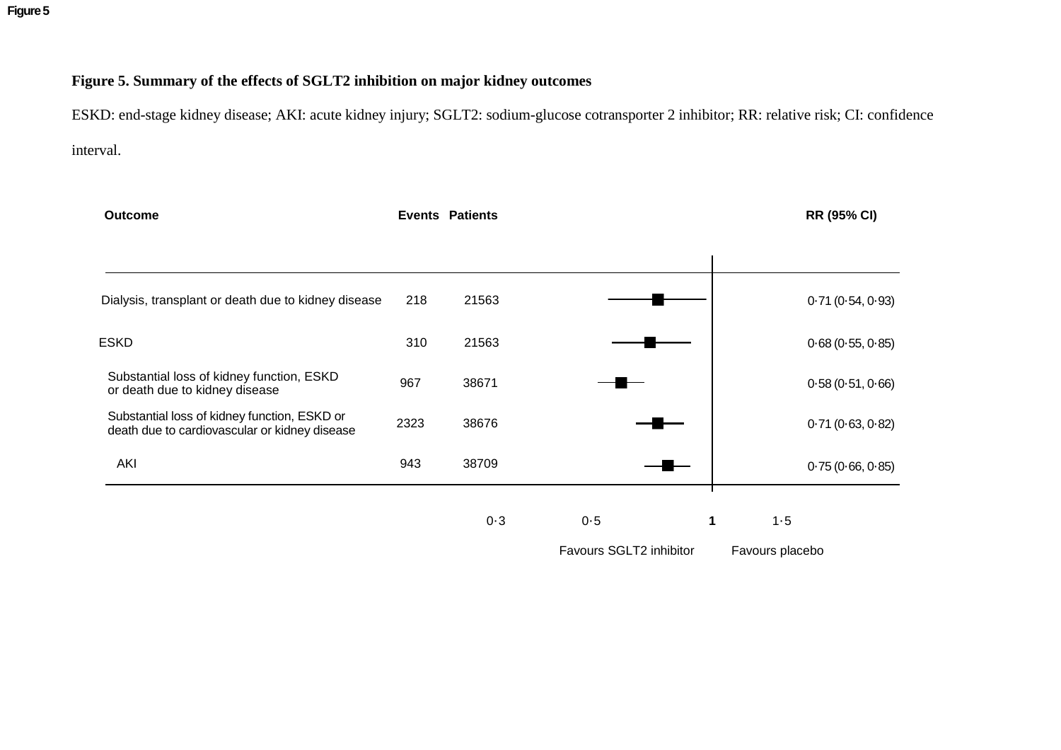**Figure 5**

# **Figure 5. Summary of the effects of SGLT2 inhibition on major kidney outcomes**

ESKD: end-stage kidney disease; AKI: acute kidney injury; SGLT2: sodium-glucose cotransporter 2 inhibitor; RR: relative risk; CI: confidence interval.

| <b>Outcome</b>                                                                                |      | <b>Events Patients</b> |          | <b>RR (95% CI)</b> |
|-----------------------------------------------------------------------------------------------|------|------------------------|----------|--------------------|
|                                                                                               |      |                        |          |                    |
| Dialysis, transplant or death due to kidney disease                                           | 218  | 21563                  |          | 0.71(0.54, 0.93)   |
| <b>ESKD</b>                                                                                   | 310  | 21563                  |          | 0.68(0.55, 0.85)   |
| Substantial loss of kidney function, ESKD<br>or death due to kidney disease                   | 967  | 38671                  |          | 0.58(0.51, 0.66)   |
| Substantial loss of kidney function, ESKD or<br>death due to cardiovascular or kidney disease | 2323 | 38676                  |          | 0.71(0.63, 0.82)   |
| AKI                                                                                           | 943  | 38709                  |          | 0.75(0.66, 0.85)   |
|                                                                                               |      | $0 - 3$                | 0.5<br>1 | 1.5                |

Favours SGLT2 inhibitor Favours placebo